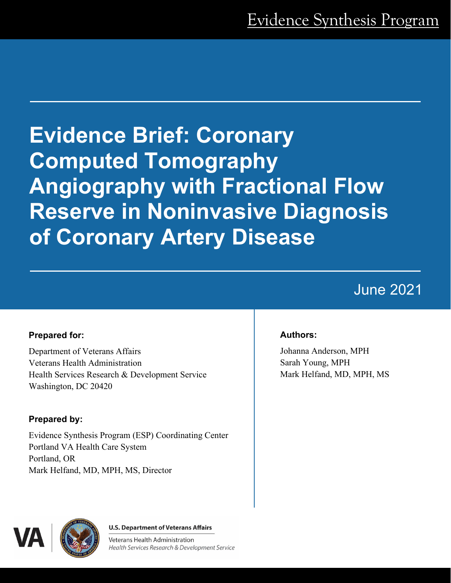# **Evidence Brief: Coronary Computed Tomography Angiography with Fractional Flow Reserve in Noninvasive Diagnosis of Coronary Artery Disease**

## June 2021

#### **Prepared for:**

Department of Veterans Affairs Veterans Health Administration Health Services Research & Development Service Washington, DC 20420

### **Prepared by:**

Evidence Synthesis Program (ESP) Coordinating Center Portland VA Health Care System Portland, OR Mark Helfand, MD, MPH, MS, Director

#### **Authors:**

Johanna Anderson, MPH Sarah Young, MPH Mark Helfand, MD, MPH, MS



**U.S. Department of Veterans Affairs** 

Veterans Health Administration Health Services Research & Development Service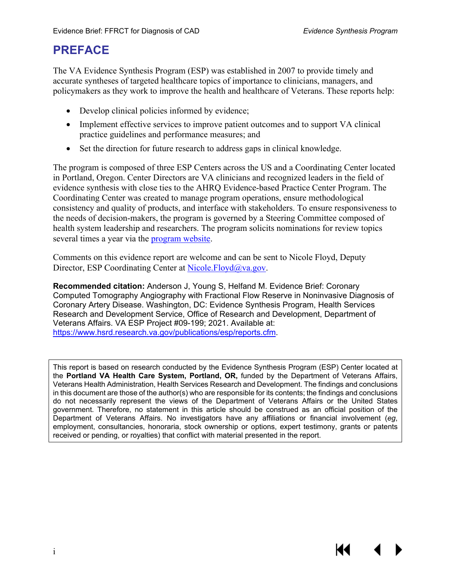KI

## **PREFACE**

The VA Evidence Synthesis Program (ESP) was established in 2007 to provide timely and accurate syntheses of targeted healthcare topics of importance to clinicians, managers, and policymakers as they work to improve the health and healthcare of Veterans. These reports help:

- Develop clinical policies informed by evidence;
- Implement effective services to improve patient outcomes and to support VA clinical practice guidelines and performance measures; and
- Set the direction for future research to address gaps in clinical knowledge.

The program is composed of three ESP Centers across the US and a Coordinating Center located in Portland, Oregon. Center Directors are VA clinicians and recognized leaders in the field of evidence synthesis with close ties to the AHRQ Evidence-based Practice Center Program. The Coordinating Center was created to manage program operations, ensure methodological consistency and quality of products, and interface with stakeholders. To ensure responsiveness to the needs of decision-makers, the program is governed by a Steering Committee composed of health system leadership and researchers. The program solicits nominations for review topics several times a year via the [program website.](https://www.hsrd.research.va.gov/publications/esp/TopicNomination.cfm)

Comments on this evidence report are welcome and can be sent to Nicole Floyd, Deputy Director, ESP Coordinating Center at [Nicole.Floyd@va.gov.](mailto:Nicole.Floyd@va.gov)

**Recommended citation:** Anderson J, Young S, Helfand M. Evidence Brief: Coronary Computed Tomography Angiography with Fractional Flow Reserve in Noninvasive Diagnosis of Coronary Artery Disease. Washington, DC: Evidence Synthesis Program, Health Services Research and Development Service, Office of Research and Development, Department of Veterans Affairs. VA ESP Project #09-199; 2021. Available at: [https://www.hsrd.research.va.gov/publications/esp/reports.cfm.](https://www.hsrd.research.va.gov/publications/esp/reports.cfm)

This report is based on research conducted by the Evidence Synthesis Program (ESP) Center located at the **Portland VA Health Care System, Portland, OR,** funded by the Department of Veterans Affairs, Veterans Health Administration, Health Services Research and Development. The findings and conclusions in this document are those of the author(s) who are responsible for its contents; the findings and conclusions do not necessarily represent the views of the Department of Veterans Affairs or the United States government. Therefore, no statement in this article should be construed as an official position of the Department of Veterans Affairs. No investigators have any affiliations or financial involvement (*eg*, employment, consultancies, honoraria, stock ownership or options, expert testimony, grants or patents received or pending, or royalties) that conflict with material presented in the report.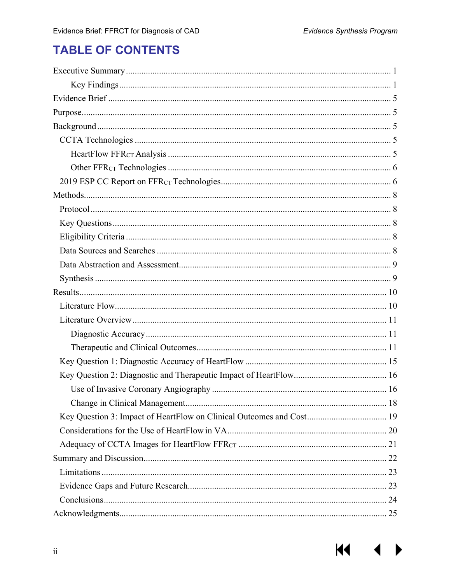## **TABLE OF CONTENTS**

| Key Question 3: Impact of HeartFlow on Clinical Outcomes and Cost 19 |  |
|----------------------------------------------------------------------|--|
|                                                                      |  |
|                                                                      |  |
|                                                                      |  |
|                                                                      |  |
|                                                                      |  |
|                                                                      |  |
|                                                                      |  |

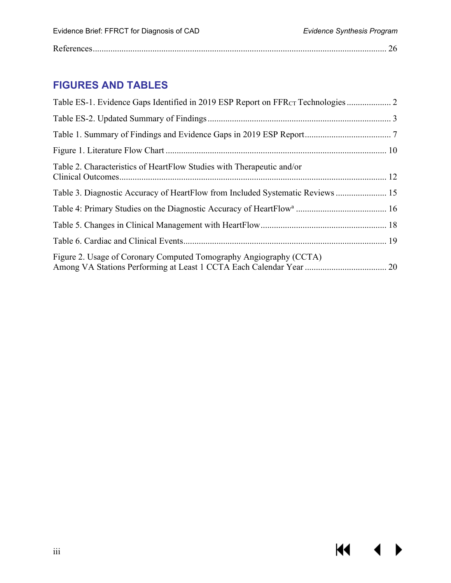$M \rightarrow$ 

|--|

## **FIGURES AND TABLES**

| Table 2. Characteristics of HeartFlow Studies with Therapeutic and/or          |
|--------------------------------------------------------------------------------|
| Table 3. Diagnostic Accuracy of HeartFlow from Included Systematic Reviews  15 |
|                                                                                |
|                                                                                |
|                                                                                |
| Figure 2. Usage of Coronary Computed Tomography Angiography (CCTA)             |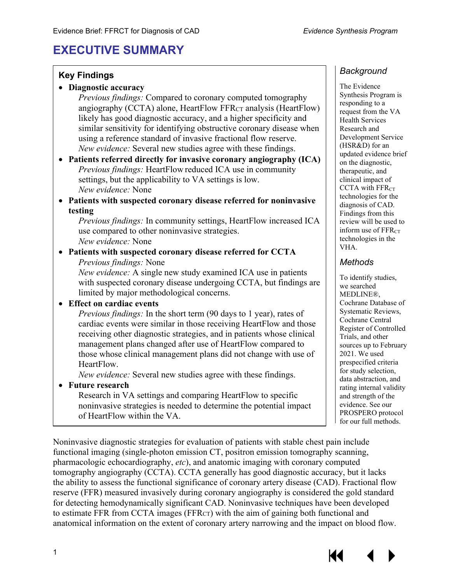## <span id="page-4-0"></span>**EXECUTIVE SUMMARY**

#### **Key Findings**

|  |  | Diagnostic accuracy |  |
|--|--|---------------------|--|
|--|--|---------------------|--|

*Previous findings:* Compared to coronary computed tomography angiography (CCTA) alone, HeartFlow FFR $_{CT}$  analysis (HeartFlow) likely has good diagnostic accuracy, and a higher specificity and similar sensitivity for identifying obstructive coronary disease when using a reference standard of invasive fractional flow reserve. *New evidence:* Several new studies agree with these findings.

• **Patients referred directly for invasive coronary angiography (ICA)** *Previous findings:* HeartFlow reduced ICA use in community settings, but the applicability to VA settings is low. *New evidence:* None

• **Patients with suspected coronary disease referred for noninvasive testing**

*Previous findings:* In community settings, HeartFlow increased ICA use compared to other noninvasive strategies. *New evidence:* None

• **Patients with suspected coronary disease referred for CCTA** *Previous findings:* None

*New evidence:* A single new study examined ICA use in patients with suspected coronary disease undergoing CCTA, but findings are limited by major methodological concerns.

#### • **Effect on cardiac events**

*Previous findings:* In the short term (90 days to 1 year), rates of cardiac events were similar in those receiving HeartFlow and those receiving other diagnostic strategies, and in patients whose clinical management plans changed after use of HeartFlow compared to those whose clinical management plans did not change with use of HeartFlow.

*New evidence:* Several new studies agree with these findings.

#### • **Future research**

Research in VA settings and comparing HeartFlow to specific noninvasive strategies is needed to determine the potential impact of HeartFlow within the VA.

#### *Background*

The Evidence Synthesis Program is responding to a request from the VA Health Services Research and Development Service (HSR&D) for an updated evidence brief on the diagnostic, therapeutic, and clinical impact of CCTA with FFR<sub>CT</sub> technologies for the diagnosis of CAD. Findings from this review will be used to inform use of  $FFR<sub>CT</sub>$ technologies in the VHA.

#### *Methods*

To identify studies, we searched MEDLINE®, Cochrane Database of Systematic Reviews, Cochrane Central Register of Controlled Trials, and other sources up to February 2021. We used prespecified criteria for study selection, data abstraction, and rating internal validity and strength of the evidence. See our PROSPERO protocol for our full methods.

Noninvasive diagnostic strategies for evaluation of patients with stable chest pain include functional imaging (single-photon emission CT, positron emission tomography scanning, pharmacologic echocardiography, *etc*), and anatomic imaging with coronary computed tomography angiography (CCTA). CCTA generally has good diagnostic accuracy, but it lacks the ability to assess the functional significance of coronary artery disease (CAD). Fractional flow reserve (FFR) measured invasively during coronary angiography is considered the gold standard for detecting hemodynamically significant CAD. Noninvasive techniques have been developed to estimate FFR from CCTA images (FFR<sub>CT</sub>) with the aim of gaining both functional and anatomical information on the extent of coronary artery narrowing and the impact on blood flow.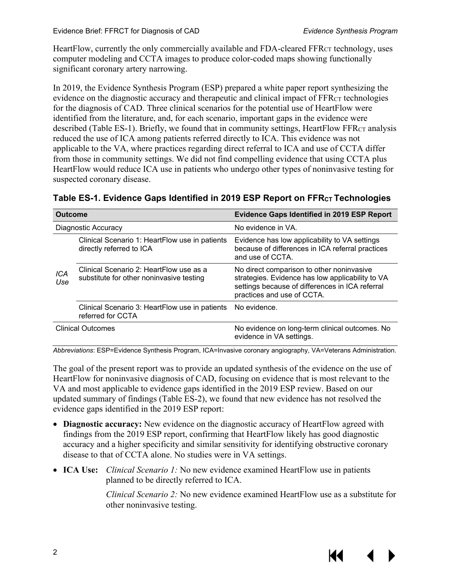HeartFlow, currently the only commercially available and FDA-cleared FFRCT technology, uses computer modeling and CCTA images to produce color-coded maps showing functionally significant coronary artery narrowing.

In 2019, the Evidence Synthesis Program (ESP) prepared a white paper report synthesizing the evidence on the diagnostic accuracy and therapeutic and clinical impact of FFR<sub>CT</sub> technologies for the diagnosis of CAD. Three clinical scenarios for the potential use of HeartFlow were identified from the literature, and, for each scenario, important gaps in the evidence were described (Table ES-1). Briefly, we found that in community settings, HeartFlow FFRCT analysis reduced the use of ICA among patients referred directly to ICA. This evidence was not applicable to the VA, where practices regarding direct referral to ICA and use of CCTA differ from those in community settings. We did not find compelling evidence that using CCTA plus HeartFlow would reduce ICA use in patients who undergo other types of noninvasive testing for suspected coronary disease.

<span id="page-5-0"></span>

| Table ES-1. Evidence Gaps Identified in 2019 ESP Report on $\mathsf{FFRcr}$ Technologies |  |  |  |
|------------------------------------------------------------------------------------------|--|--|--|
|                                                                                          |  |  |  |

| <b>Outcome</b>           |                                                                                     | <b>Evidence Gaps Identified in 2019 ESP Report</b>                                                                                                                             |  |  |
|--------------------------|-------------------------------------------------------------------------------------|--------------------------------------------------------------------------------------------------------------------------------------------------------------------------------|--|--|
| Diagnostic Accuracy      |                                                                                     | No evidence in VA.                                                                                                                                                             |  |  |
|                          | Clinical Scenario 1: HeartFlow use in patients<br>directly referred to ICA          | Evidence has low applicability to VA settings<br>because of differences in ICA referral practices<br>and use of CCTA.                                                          |  |  |
| ICA<br>Use               | Clinical Scenario 2: HeartFlow use as a<br>substitute for other noninvasive testing | No direct comparison to other noninvasive<br>strategies. Evidence has low applicability to VA<br>settings because of differences in ICA referral<br>practices and use of CCTA. |  |  |
|                          | Clinical Scenario 3: HeartFlow use in patients<br>referred for CCTA                 | No evidence.                                                                                                                                                                   |  |  |
| <b>Clinical Outcomes</b> |                                                                                     | No evidence on long-term clinical outcomes. No<br>evidence in VA settings.                                                                                                     |  |  |

*Abbreviations*: ESP=Evidence Synthesis Program, ICA=Invasive coronary angiography, VA=Veterans Administration.

The goal of the present report was to provide an updated synthesis of the evidence on the use of HeartFlow for noninvasive diagnosis of CAD, focusing on evidence that is most relevant to the VA and most applicable to evidence gaps identified in the 2019 ESP review. Based on our updated summary of findings (Table ES-2), we found that new evidence has not resolved the evidence gaps identified in the 2019 ESP report:

- **Diagnostic accuracy:** New evidence on the diagnostic accuracy of HeartFlow agreed with findings from the 2019 ESP report, confirming that HeartFlow likely has good diagnostic accuracy and a higher specificity and similar sensitivity for identifying obstructive coronary disease to that of CCTA alone. No studies were in VA settings.
- **ICA Use:** *Clinical Scenario 1:* No new evidence examined HeartFlow use in patients planned to be directly referred to ICA.

*Clinical Scenario 2:* No new evidence examined HeartFlow use as a substitute for other noninvasive testing.

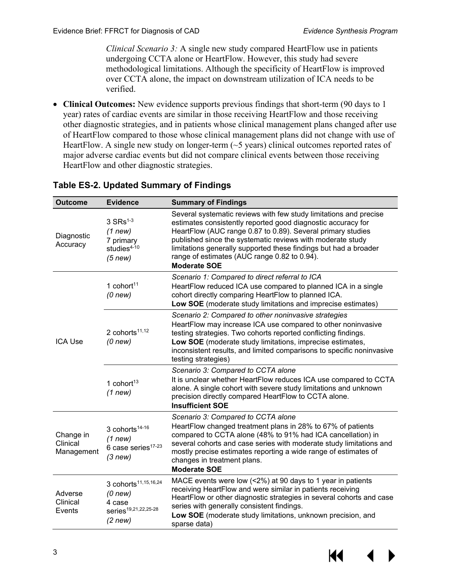*Clinical Scenario 3:* A single new study compared HeartFlow use in patients undergoing CCTA alone or HeartFlow. However, this study had severe methodological limitations. Although the specificity of HeartFlow is improved over CCTA alone, the impact on downstream utilization of ICA needs to be verified.

• **Clinical Outcomes:** New evidence supports previous findings that short-term (90 days to 1 year) rates of cardiac events are similar in those receiving HeartFlow and those receiving other diagnostic strategies, and in patients whose clinical management plans changed after use of HeartFlow compared to those whose clinical management plans did not change with use of HeartFlow. A single new study on longer-term  $(\sim 5$  years) clinical outcomes reported rates of major adverse cardiac events but did not compare clinical events between those receiving HeartFlow and other diagnostic strategies.

| <b>Outcome</b>                      | <b>Evidence</b>                                                                                          | <b>Summary of Findings</b>                                                                                                                                                                                                                                                                                                                                                                                |
|-------------------------------------|----------------------------------------------------------------------------------------------------------|-----------------------------------------------------------------------------------------------------------------------------------------------------------------------------------------------------------------------------------------------------------------------------------------------------------------------------------------------------------------------------------------------------------|
| Diagnostic<br>Accuracy              | $3$ SRs <sup>1-3</sup><br>$(1$ new)<br>7 primary<br>studies <sup>4-10</sup><br>$(5$ new)                 | Several systematic reviews with few study limitations and precise<br>estimates consistently reported good diagnostic accuracy for<br>HeartFlow (AUC range 0.87 to 0.89). Several primary studies<br>published since the systematic reviews with moderate study<br>limitations generally supported these findings but had a broader<br>range of estimates (AUC range 0.82 to 0.94).<br><b>Moderate SOE</b> |
| <b>ICA Use</b>                      | 1 cohort $11$<br>$(0$ new $)$                                                                            | Scenario 1: Compared to direct referral to ICA<br>HeartFlow reduced ICA use compared to planned ICA in a single<br>cohort directly comparing HeartFlow to planned ICA.<br>Low SOE (moderate study limitations and imprecise estimates)                                                                                                                                                                    |
|                                     | 2 cohorts <sup>11,12</sup><br>$(0$ new $)$                                                               | Scenario 2: Compared to other noninvasive strategies<br>HeartFlow may increase ICA use compared to other noninvasive<br>testing strategies. Two cohorts reported conflicting findings.<br>Low SOE (moderate study limitations, imprecise estimates,<br>inconsistent results, and limited comparisons to specific noninvasive<br>testing strategies)                                                       |
|                                     | 1 cohort $13$<br>$(1$ new)                                                                               | Scenario 3: Compared to CCTA alone<br>It is unclear whether HeartFlow reduces ICA use compared to CCTA<br>alone. A single cohort with severe study limitations and unknown<br>precision directly compared HeartFlow to CCTA alone.<br><b>Insufficient SOE</b>                                                                                                                                             |
| Change in<br>Clinical<br>Management | 3 cohorts <sup>14-16</sup><br>$(1$ new)<br>6 case series <sup>17-23</sup><br>(3 new)                     | Scenario 3: Compared to CCTA alone<br>HeartFlow changed treatment plans in 28% to 67% of patients<br>compared to CCTA alone (48% to 91% had ICA cancellation) in<br>several cohorts and case series with moderate study limitations and<br>mostly precise estimates reporting a wide range of estimates of<br>changes in treatment plans.<br><b>Moderate SOE</b>                                          |
| Adverse<br>Clinical<br>Events       | 3 cohorts <sup>11,15,16,24</sup><br>$(0$ new)<br>4 case<br>series <sup>19,21,22,25-28</sup><br>$(2$ new) | MACE events were low (<2%) at 90 days to 1 year in patients<br>receiving HeartFlow and were similar in patients receiving<br>HeartFlow or other diagnostic strategies in several cohorts and case<br>series with generally consistent findings.<br>Low SOE (moderate study limitations, unknown precision, and<br>sparse data)                                                                            |

#### <span id="page-6-0"></span>**Table ES-2. Updated Summary of Findings**

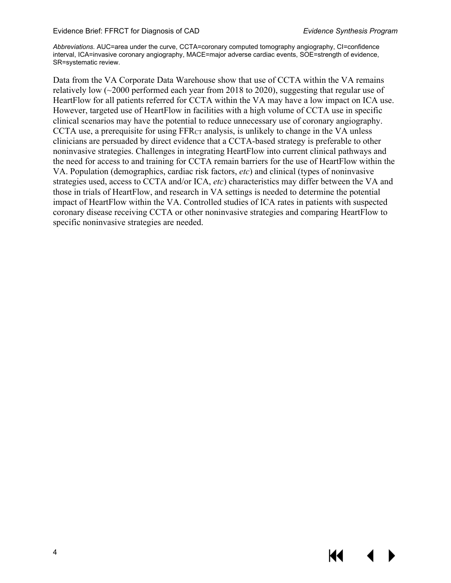*Abbreviations.* AUC=area under the curve, CCTA=coronary computed tomography angiography, CI=confidence interval, ICA=invasive coronary angiography, MACE=major adverse cardiac events, SOE=strength of evidence, SR=systematic review.

Data from the VA Corporate Data Warehouse show that use of CCTA within the VA remains relatively low (~2000 performed each year from 2018 to 2020), suggesting that regular use of HeartFlow for all patients referred for CCTA within the VA may have a low impact on ICA use. However, targeted use of HeartFlow in facilities with a high volume of CCTA use in specific clinical scenarios may have the potential to reduce unnecessary use of coronary angiography. CCTA use, a prerequisite for using FFR<sub>CT</sub> analysis, is unlikely to change in the VA unless clinicians are persuaded by direct evidence that a CCTA-based strategy is preferable to other noninvasive strategies. Challenges in integrating HeartFlow into current clinical pathways and the need for access to and training for CCTA remain barriers for the use of HeartFlow within the VA. Population (demographics, cardiac risk factors, *etc*) and clinical (types of noninvasive strategies used, access to CCTA and/or ICA, *etc*) characteristics may differ between the VA and those in trials of HeartFlow, and research in VA settings is needed to determine the potential impact of HeartFlow within the VA. Controlled studies of ICA rates in patients with suspected coronary disease receiving CCTA or other noninvasive strategies and comparing HeartFlow to specific noninvasive strategies are needed.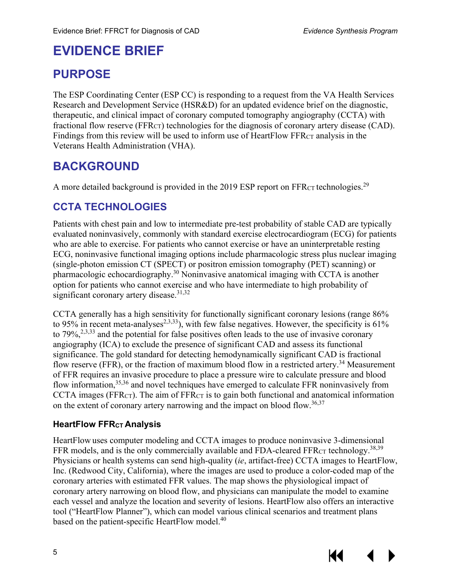## <span id="page-8-0"></span>**EVIDENCE BRIEF**

## <span id="page-8-1"></span>**PURPOSE**

The ESP Coordinating Center (ESP CC) is responding to a request from the VA Health Services Research and Development Service (HSR&D) for an updated evidence brief on the diagnostic, therapeutic, and clinical impact of coronary computed tomography angiography (CCTA) with fractional flow reserve (FFR<sub>CT</sub>) technologies for the diagnosis of coronary artery disease (CAD). Findings from this review will be used to inform use of HeartFlow FFR $_{CT}$  analysis in the Veterans Health Administration (VHA).

## <span id="page-8-2"></span>**BACKGROUND**

A more detailed background is provided in the 2019 ESP report on FFR $_{CT}$  technologies.<sup>[29](#page-31-0)</sup>

## <span id="page-8-3"></span>**CCTA TECHNOLOGIES**

Patients with chest pain and low to intermediate pre-test probability of stable CAD are typically evaluated noninvasively, commonly with standard exercise electrocardiogram (ECG) for patients who are able to exercise. For patients who cannot exercise or have an uninterpretable resting ECG, noninvasive functional imaging options include pharmacologic stress plus nuclear imaging (single-photon emission CT (SPECT) or positron emission tomography (PET) scanning) or pharmacologic echocardiography[.30](#page-31-1) Noninvasive anatomical imaging with CCTA is another option for patients who cannot exercise and who have intermediate to high probability of significant coronary artery disease.<sup>[31,](#page-31-2)[32](#page-31-3)</sup>

CCTA generally has a high sensitivity for functionally significant coronary lesions (range 86% to 95% in recent meta-analyses<sup>2,[3,](#page-29-6)33</sup>), with few false negatives. However, the specificity is 61% to 79%,<sup>[2,](#page-29-5)[3,](#page-29-6)[33](#page-31-4)</sup> and the potential for false positives often leads to the use of invasive coronary angiography (ICA) to exclude the presence of significant CAD and assess its functional significance. The gold standard for detecting hemodynamically significant CAD is fractional flow reserve (FFR), or the fraction of maximum blood flow in a restricted artery.<sup>34</sup> Measurement of FFR requires an invasive procedure to place a pressure wire to calculate pressure and blood flow information,<sup>[35,](#page-31-6)[36](#page-31-7)</sup> and novel techniques have emerged to calculate FFR noninvasively from CCTA images (FFR $_{CT}$ ). The aim of FFR $_{CT}$  is to gain both functional and anatomical information on the extent of coronary artery narrowing and the impact on blood flow.<sup>[36,](#page-31-7)[37](#page-31-8)</sup>

#### <span id="page-8-4"></span>**HeartFlow FFRCT Analysis**

HeartFlow uses computer modeling and CCTA images to produce noninvasive 3-dimensional FFR models, and is the only commercially available and FDA-cleared FFR $_{CT}$  technology.<sup>[38,](#page-31-9)[39](#page-31-10)</sup> Physicians or health systems can send high-quality (*ie*, artifact-free) CCTA images to HeartFlow, Inc. (Redwood City, California), where the images are used to produce a color-coded map of the coronary arteries with estimated FFR values. The map shows the physiological impact of coronary artery narrowing on blood flow, and physicians can manipulate the model to examine each vessel and analyze the location and severity of lesions. HeartFlow also offers an interactive tool ("HeartFlow Planner"), which can model various clinical scenarios and treatment plans based on the patient-specific HeartFlow model.<sup>[40](#page-31-11)</sup>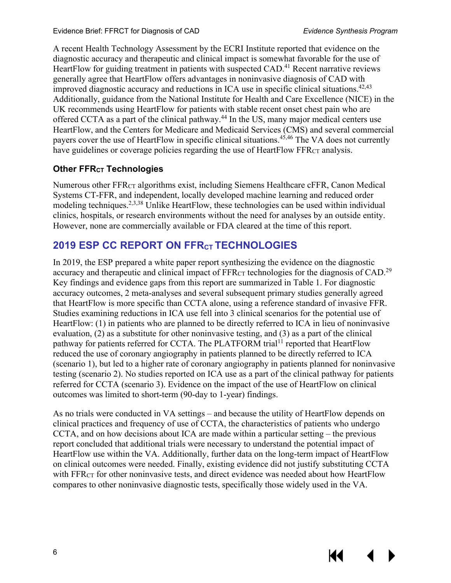К€

A recent Health Technology Assessment by the ECRI Institute reported that evidence on the diagnostic accuracy and therapeutic and clinical impact is somewhat favorable for the use of HeartFlow for guiding treatment in patients with suspected CAD.<sup>[41](#page-31-12)</sup> Recent narrative reviews generally agree that HeartFlow offers advantages in noninvasive diagnosis of CAD with improved diagnostic accuracy and reductions in ICA use in specific clinical situations.<sup>[42](#page-31-13)[,43](#page-32-0)</sup> Additionally, guidance from the National Institute for Health and Care Excellence (NICE) in the UK recommends using HeartFlow for patients with stable recent onset chest pain who are offered CCTA as a part of the clinical pathway.[44](#page-32-1) In the US, many major medical centers use HeartFlow, and the Centers for Medicare and Medicaid Services (CMS) and several commercial payers cover the use of HeartFlow in specific clinical situations. [45,](#page-32-2)[46](#page-32-3) The VA does not currently have guidelines or coverage policies regarding the use of HeartFlow FFR<sub>CT</sub> analysis.

#### <span id="page-9-0"></span>**Other FFRCT Technologies**

Numerous other FFRCT algorithms exist, including Siemens Healthcare cFFR, Canon Medical Systems CT-FFR, and independent, locally developed machine learning and reduced order modeling techniques.<sup>[2,](#page-29-5)[3,](#page-29-6)[38](#page-31-9)</sup> Unlike HeartFlow, these technologies can be used within individual clinics, hospitals, or research environments without the need for analyses by an outside entity. However, none are commercially available or FDA cleared at the time of this report.

## <span id="page-9-1"></span>**2019 ESP CC REPORT ON FFRCT TECHNOLOGIES**

In 2019, the ESP prepared a white paper report synthesizing the evidence on the diagnostic accuracy and therapeutic and clinical impact of  $FFR<sub>CT</sub>$  technologies for the diagnosis of CAD.<sup>[29](#page-31-0)</sup> Key findings and evidence gaps from this report are summarized in Table 1. For diagnostic accuracy outcomes, 2 meta-analyses and several subsequent primary studies generally agreed that HeartFlow is more specific than CCTA alone, using a reference standard of invasive FFR. Studies examining reductions in ICA use fell into 3 clinical scenarios for the potential use of HeartFlow: (1) in patients who are planned to be directly referred to ICA in lieu of noninvasive evaluation, (2) as a substitute for other noninvasive testing, and (3) as a part of the clinical pathway for patients referred for CCTA. The PLATFORM trial<sup>[11](#page-29-3)</sup> reported that HeartFlow reduced the use of coronary angiography in patients planned to be directly referred to ICA (scenario 1), but led to a higher rate of coronary angiography in patients planned for noninvasive testing (scenario 2). No studies reported on ICA use as a part of the clinical pathway for patients referred for CCTA (scenario 3). Evidence on the impact of the use of HeartFlow on clinical outcomes was limited to short-term (90-day to 1-year) findings.

As no trials were conducted in VA settings – and because the utility of HeartFlow depends on clinical practices and frequency of use of CCTA, the characteristics of patients who undergo CCTA, and on how decisions about ICA are made within a particular setting – the previous report concluded that additional trials were necessary to understand the potential impact of HeartFlow use within the VA. Additionally, further data on the long-term impact of HeartFlow on clinical outcomes were needed. Finally, existing evidence did not justify substituting CCTA with FFR<sub>CT</sub> for other noninvasive tests, and direct evidence was needed about how HeartFlow compares to other noninvasive diagnostic tests, specifically those widely used in the VA.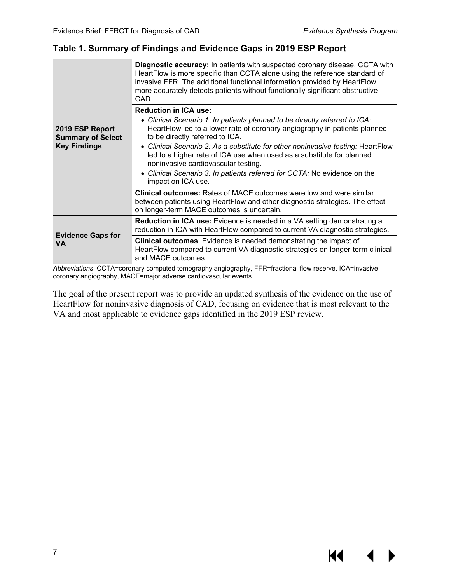#### <span id="page-10-0"></span>**Table 1. Summary of Findings and Evidence Gaps in 2019 ESP Report**

|                                             | <b>Diagnostic accuracy:</b> In patients with suspected coronary disease, CCTA with<br>HeartFlow is more specific than CCTA alone using the reference standard of<br>invasive FFR. The additional functional information provided by HeartFlow<br>more accurately detects patients without functionally significant obstructive<br>CAD. |
|---------------------------------------------|----------------------------------------------------------------------------------------------------------------------------------------------------------------------------------------------------------------------------------------------------------------------------------------------------------------------------------------|
|                                             | <b>Reduction in ICA use:</b><br>• Clinical Scenario 1: In patients planned to be directly referred to ICA:                                                                                                                                                                                                                             |
| 2019 ESP Report<br><b>Summary of Select</b> | HeartFlow led to a lower rate of coronary angiography in patients planned<br>to be directly referred to ICA.                                                                                                                                                                                                                           |
| <b>Key Findings</b>                         | • Clinical Scenario 2: As a substitute for other noninvasive testing: HeartFlow<br>led to a higher rate of ICA use when used as a substitute for planned<br>noninvasive cardiovascular testing.                                                                                                                                        |
|                                             | • Clinical Scenario 3: In patients referred for CCTA: No evidence on the<br>impact on ICA use.                                                                                                                                                                                                                                         |
|                                             | <b>Clinical outcomes:</b> Rates of MACE outcomes were low and were similar<br>between patients using HeartFlow and other diagnostic strategies. The effect<br>on longer-term MACE outcomes is uncertain.                                                                                                                               |
|                                             | <b>Reduction in ICA use:</b> Evidence is needed in a VA setting demonstrating a<br>reduction in ICA with HeartFlow compared to current VA diagnostic strategies.                                                                                                                                                                       |
| <b>Evidence Gaps for</b><br>VA.             | <b>Clinical outcomes:</b> Evidence is needed demonstrating the impact of<br>HeartFlow compared to current VA diagnostic strategies on longer-term clinical<br>and MACE outcomes.                                                                                                                                                       |

*Abbreviations*: CCTA=coronary computed tomography angiography, FFR=fractional flow reserve, ICA=invasive coronary angiography, MACE=major adverse cardiovascular events.

The goal of the present report was to provide an updated synthesis of the evidence on the use of HeartFlow for noninvasive diagnosis of CAD, focusing on evidence that is most relevant to the VA and most applicable to evidence gaps identified in the 2019 ESP review.

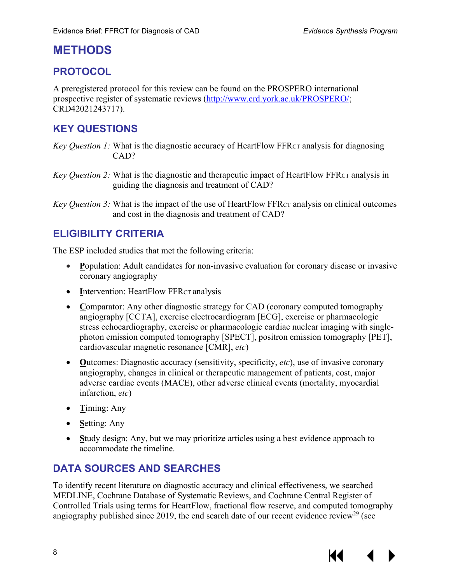## <span id="page-11-0"></span>**METHODS**

## <span id="page-11-1"></span>**PROTOCOL**

A preregistered protocol for this review can be found on the PROSPERO international prospective register of systematic reviews [\(http://www.crd.york.ac.uk/PROSPERO/;](http://www.crd.york.ac.uk/PROSPERO/) CRD42021243717).

## <span id="page-11-2"></span>**KEY QUESTIONS**

*Key Question 1:* What is the diagnostic accuracy of HeartFlow FFR<sub>CT</sub> analysis for diagnosing CAD?

*Key Question 2:* What is the diagnostic and therapeutic impact of HeartFlow FFR<sub>CT</sub> analysis in guiding the diagnosis and treatment of CAD?

*Key Question 3:* What is the impact of the use of HeartFlow FFR<sub>CT</sub> analysis on clinical outcomes and cost in the diagnosis and treatment of CAD?

## <span id="page-11-3"></span>**ELIGIBILITY CRITERIA**

The ESP included studies that met the following criteria:

- **Population:** Adult candidates for non-invasive evaluation for coronary disease or invasive coronary angiography
- **Intervention: HeartFlow FFRCT analysis**
- Comparator: Any other diagnostic strategy for CAD (coronary computed tomography angiography [CCTA], exercise electrocardiogram [ECG], exercise or pharmacologic stress echocardiography, exercise or pharmacologic cardiac nuclear imaging with singlephoton emission computed tomography [SPECT], positron emission tomography [PET], cardiovascular magnetic resonance [CMR], *etc*)
- **O**utcomes: Diagnostic accuracy (sensitivity, specificity, *etc*), use of invasive coronary angiography, changes in clinical or therapeutic management of patients, cost, major adverse cardiac events (MACE), other adverse clinical events (mortality, myocardial infarction, *etc*)
- **T**iming: Any
- **S**etting: Any
- Study design: Any, but we may prioritize articles using a best evidence approach to accommodate the timeline.

## <span id="page-11-4"></span>**DATA SOURCES AND SEARCHES**

To identify recent literature on diagnostic accuracy and clinical effectiveness, we searched MEDLINE, Cochrane Database of Systematic Reviews, and Cochrane Central Register of Controlled Trials using terms for HeartFlow, fractional flow reserve, and computed tomography angiography published since 2019, the end search date of our recent evidence review<sup>29</sup> (see

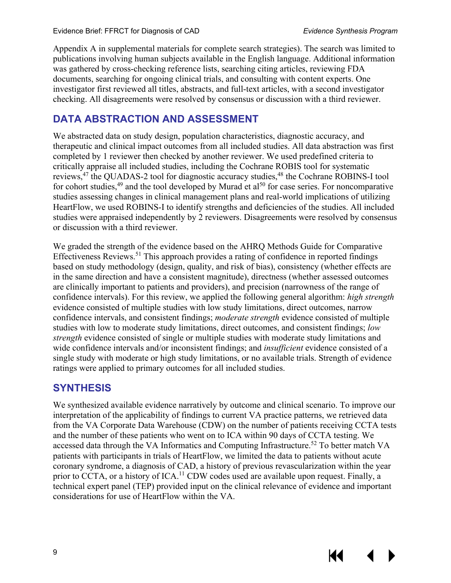KI

Appendix A in supplemental materials for complete search strategies). The search was limited to publications involving human subjects available in the English language. Additional information was gathered by cross-checking reference lists, searching citing articles, reviewing FDA documents, searching for ongoing clinical trials, and consulting with content experts. One investigator first reviewed all titles, abstracts, and full-text articles, with a second investigator checking. All disagreements were resolved by consensus or discussion with a third reviewer.

## <span id="page-12-0"></span>**DATA ABSTRACTION AND ASSESSMENT**

We abstracted data on study design, population characteristics, diagnostic accuracy, and therapeutic and clinical impact outcomes from all included studies. All data abstraction was first completed by 1 reviewer then checked by another reviewer. We used predefined criteria to critically appraise all included studies, including the Cochrane ROBIS tool for systematic reviews,<sup>[47](#page-32-4)</sup> the QUADAS-2 tool for diagnostic accuracy studies,<sup>[48](#page-32-5)</sup> the Cochrane ROBINS-I tool for cohort studies, $49$  and the tool developed by Murad et al<sup>[50](#page-32-7)</sup> for case series. For noncomparative studies assessing changes in clinical management plans and real-world implications of utilizing HeartFlow, we used ROBINS-I to identify strengths and deficiencies of the studies. All included studies were appraised independently by 2 reviewers. Disagreements were resolved by consensus or discussion with a third reviewer.

We graded the strength of the evidence based on the AHRQ Methods Guide for Comparative Effectiveness Reviews.<sup>[51](#page-32-8)</sup> This approach provides a rating of confidence in reported findings based on study methodology (design, quality, and risk of bias), consistency (whether effects are in the same direction and have a consistent magnitude), directness (whether assessed outcomes are clinically important to patients and providers), and precision (narrowness of the range of confidence intervals). For this review, we applied the following general algorithm: *high strength* evidence consisted of multiple studies with low study limitations, direct outcomes, narrow confidence intervals, and consistent findings; *moderate strength* evidence consisted of multiple studies with low to moderate study limitations, direct outcomes, and consistent findings; *low strength* evidence consisted of single or multiple studies with moderate study limitations and wide confidence intervals and/or inconsistent findings; and *insufficient* evidence consisted of a single study with moderate or high study limitations, or no available trials. Strength of evidence ratings were applied to primary outcomes for all included studies.

### <span id="page-12-1"></span>**SYNTHESIS**

We synthesized available evidence narratively by outcome and clinical scenario. To improve our interpretation of the applicability of findings to current VA practice patterns, we retrieved data from the VA Corporate Data Warehouse (CDW) on the number of patients receiving CCTA tests and the number of these patients who went on to ICA within 90 days of CCTA testing. We accessed data through the VA Informatics and Computing Infrastructure.<sup>[52](#page-32-9)</sup> To better match VA patients with participants in trials of HeartFlow, we limited the data to patients without acute coronary syndrome, a diagnosis of CAD, a history of previous revascularization within the year prior to CCTA, or a history of  $ICA<sup>11</sup>$  $ICA<sup>11</sup>$  $ICA<sup>11</sup>$  CDW codes used are available upon request. Finally, a technical expert panel (TEP) provided input on the clinical relevance of evidence and important considerations for use of HeartFlow within the VA.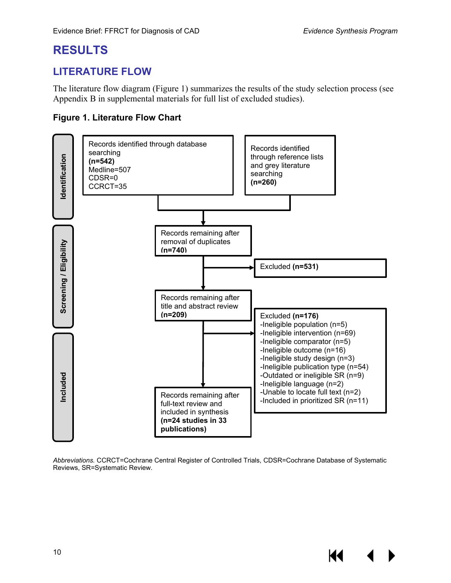КК

## <span id="page-13-0"></span>**RESULTS**

## <span id="page-13-1"></span>**LITERATURE FLOW**

The literature flow diagram (Figure 1) summarizes the results of the study selection process (see Appendix B in supplemental materials for full list of excluded studies).

#### <span id="page-13-2"></span>**Figure 1. Literature Flow Chart**



*Abbreviations.* CCRCT=Cochrane Central Register of Controlled Trials, CDSR=Cochrane Database of Systematic Reviews, SR=Systematic Review.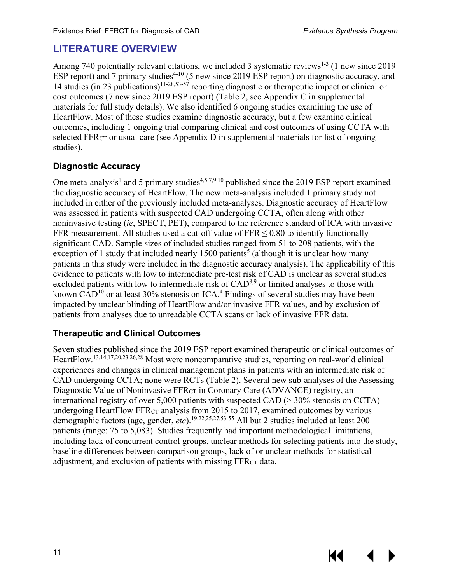KI

## <span id="page-14-0"></span>**LITERATURE OVERVIEW**

Among 740 potentially relevant citations, we included 3 systematic reviews<sup>[1-3](#page-29-1)</sup> (1 new since 2019 ESP report) and 7 primary studies<sup>4-10</sup> (5 new since 2019 ESP report) on diagnostic accuracy, and 14 studies (in 23 publications)<sup>11-28[,53-57](#page-32-10)</sup> reporting diagnostic or therapeutic impact or clinical or cost outcomes (7 new since 2019 ESP report) (Table 2, see Appendix C in supplemental materials for full study details). We also identified 6 ongoing studies examining the use of HeartFlow. Most of these studies examine diagnostic accuracy, but a few examine clinical outcomes, including 1 ongoing trial comparing clinical and cost outcomes of using CCTA with selected FFR<sub>CT</sub> or usual care (see Appendix D in supplemental materials for list of ongoing studies).

#### <span id="page-14-1"></span>**Diagnostic Accuracy**

One meta-analysis<sup>1</sup> and 5 primary studies<sup>[4,](#page-29-2)[5,](#page-29-7)[7,](#page-29-8)[9,](#page-29-9)[10](#page-29-10)</sup> published since the 2019 ESP report examined the diagnostic accuracy of HeartFlow. The new meta-analysis included 1 primary study not included in either of the previously included meta-analyses. Diagnostic accuracy of HeartFlow was assessed in patients with suspected CAD undergoing CCTA, often along with other noninvasive testing (*ie*, SPECT, PET), compared to the reference standard of ICA with invasive FFR measurement. All studies used a cut-off value of FFR  $\leq 0.80$  to identify functionally significant CAD. Sample sizes of included studies ranged from 51 to 208 patients, with the exception of 1 study that included nearly 1[5](#page-29-7)00 patients<sup>5</sup> (although it is unclear how many patients in this study were included in the diagnostic accuracy analysis). The applicability of this evidence to patients with low to intermediate pre-test risk of CAD is unclear as several studies excluded patients with low to intermediate risk of CAD<sup>8,[9](#page-29-9)</sup> or limited analyses to those with known  $CAD^{10}$  $CAD^{10}$  $CAD^{10}$  or at least 30% stenosis on ICA.<sup>4</sup> Findings of several studies may have been impacted by unclear blinding of HeartFlow and/or invasive FFR values, and by exclusion of patients from analyses due to unreadable CCTA scans or lack of invasive FFR data.

#### <span id="page-14-2"></span>**Therapeutic and Clinical Outcomes**

Seven studies published since the 2019 ESP report examined therapeutic or clinical outcomes of HeartFlow.<sup>[13,](#page-30-0)[14,](#page-30-1)[17,](#page-30-2)[20,](#page-30-10)[23,](#page-30-11)[26,](#page-30-12)[28](#page-31-14)</sup> Most were noncomparative studies, reporting on real-world clinical experiences and changes in clinical management plans in patients with an intermediate risk of CAD undergoing CCTA; none were RCTs (Table 2). Several new sub-analyses of the Assessing Diagnostic Value of Noninvasive FFR<sub>CT</sub> in Coronary Care (ADVANCE) registry, an international registry of over 5,000 patients with suspected CAD (> 30% stenosis on CCTA) undergoing HeartFlow FFRCT analysis from 2015 to 2017, examined outcomes by various demographic factors (age, gender, *etc*). [19,](#page-30-6)[22,](#page-30-8)[25,](#page-30-9)[27,](#page-31-15)[53-55](#page-32-10) All but 2 studies included at least 200 patients (range: 75 to 5,083). Studies frequently had important methodological limitations, including lack of concurrent control groups, unclear methods for selecting patients into the study, baseline differences between comparison groups, lack of or unclear methods for statistical adjustment, and exclusion of patients with missing FFRCT data.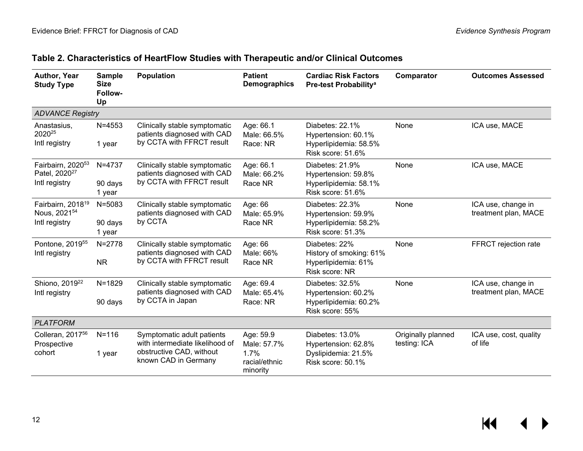<span id="page-15-0"></span>

| Author, Year<br><b>Study Type</b>                                           | <b>Sample</b><br><b>Size</b><br>Follow-<br>Up | <b>Population</b>                                                                                                 | <b>Patient</b><br><b>Demographics</b>                         | <b>Cardiac Risk Factors</b><br>Pre-test Probability <sup>a</sup>                     | Comparator                         | <b>Outcomes Assessed</b>                   |
|-----------------------------------------------------------------------------|-----------------------------------------------|-------------------------------------------------------------------------------------------------------------------|---------------------------------------------------------------|--------------------------------------------------------------------------------------|------------------------------------|--------------------------------------------|
| <b>ADVANCE Registry</b>                                                     |                                               |                                                                                                                   |                                                               |                                                                                      |                                    |                                            |
| Anastasius,<br>202025<br>Intl registry                                      | $N = 4553$<br>1 year                          | Clinically stable symptomatic<br>patients diagnosed with CAD<br>by CCTA with FFRCT result                         | Age: 66.1<br>Male: 66.5%<br>Race: NR                          | Diabetes: 22.1%<br>Hypertension: 60.1%<br>Hyperlipidemia: 58.5%<br>Risk score: 51.6% | None                               | ICA use, MACE                              |
| Fairbairn, 2020 <sup>53</sup><br>Patel, 2020 <sup>27</sup><br>Intl registry | N=4737<br>90 days<br>1 year                   | Clinically stable symptomatic<br>patients diagnosed with CAD<br>by CCTA with FFRCT result                         | Age: 66.1<br>Male: 66.2%<br>Race NR                           | Diabetes: 21.9%<br>Hypertension: 59.8%<br>Hyperlipidemia: 58.1%<br>Risk score: 51.6% | None                               | ICA use, MACE                              |
| Fairbairn, 2018 <sup>19</sup><br>Nous, 2021 <sup>54</sup><br>Intl registry  | $N = 5083$<br>90 days<br>1 year               | Clinically stable symptomatic<br>patients diagnosed with CAD<br>by CCTA                                           | Age: 66<br>Male: 65.9%<br>Race NR                             | Diabetes: 22.3%<br>Hypertension: 59.9%<br>Hyperlipidemia: 58.2%<br>Risk score: 51.3% | None                               | ICA use, change in<br>treatment plan, MACE |
| Pontone, 2019 <sup>55</sup><br>Intl registry                                | $N = 2778$<br><b>NR</b>                       | Clinically stable symptomatic<br>patients diagnosed with CAD<br>by CCTA with FFRCT result                         | Age: 66<br>Male: 66%<br>Race NR                               | Diabetes: 22%<br>History of smoking: 61%<br>Hyperlipidemia: 61%<br>Risk score: NR    | None                               | FFRCT rejection rate                       |
| Shiono, 2019 <sup>22</sup><br>Intl registry                                 | $N = 1829$<br>90 days                         | Clinically stable symptomatic<br>patients diagnosed with CAD<br>by CCTA in Japan                                  | Age: 69.4<br>Male: 65.4%<br>Race: NR                          | Diabetes: 32.5%<br>Hypertension: 60.2%<br>Hyperlipidemia: 60.2%<br>Risk score: 55%   | None                               | ICA use, change in<br>treatment plan, MACE |
| <b>PLATFORM</b>                                                             |                                               |                                                                                                                   |                                                               |                                                                                      |                                    |                                            |
| Colleran, 2017 <sup>56</sup><br>Prospective<br>cohort                       | $N = 116$<br>1 year                           | Symptomatic adult patients<br>with intermediate likelihood of<br>obstructive CAD, without<br>known CAD in Germany | Age: 59.9<br>Male: 57.7%<br>1.7%<br>racial/ethnic<br>minority | Diabetes: 13.0%<br>Hypertension: 62.8%<br>Dyslipidemia: 21.5%<br>Risk score: 50.1%   | Originally planned<br>testing: ICA | ICA use, cost, quality<br>of life          |

## **Table 2. Characteristics of HeartFlow Studies with Therapeutic and/or Clinical Outcomes**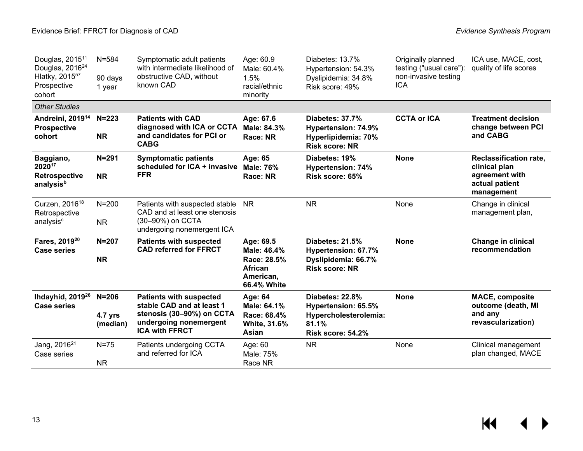| Douglas, 2015 <sup>11</sup><br>Douglas, 2016 <sup>24</sup><br>Hlatky, 2015 <sup>57</sup><br>Prospective<br>cohort | $N = 584$<br>90 days<br>1 year | Symptomatic adult patients<br>with intermediate likelihood of<br>obstructive CAD, without<br>known CAD                                      | Age: 60.9<br>Male: 60.4%<br>1.5%<br>racial/ethnic<br>minority                  | Diabetes: 13.7%<br>Hypertension: 54.3%<br>Dyslipidemia: 34.8%<br>Risk score: 49%              | Originally planned<br>testing ("usual care"):<br>non-invasive testing<br><b>ICA</b> | ICA use, MACE, cost,<br>quality of life scores                                                   |
|-------------------------------------------------------------------------------------------------------------------|--------------------------------|---------------------------------------------------------------------------------------------------------------------------------------------|--------------------------------------------------------------------------------|-----------------------------------------------------------------------------------------------|-------------------------------------------------------------------------------------|--------------------------------------------------------------------------------------------------|
| <b>Other Studies</b>                                                                                              |                                |                                                                                                                                             |                                                                                |                                                                                               |                                                                                     |                                                                                                  |
| Andreini, 2019 <sup>14</sup><br><b>Prospective</b><br>cohort                                                      | $N = 223$<br><b>NR</b>         | <b>Patients with CAD</b><br>diagnosed with ICA or CCTA<br>and candidates for PCI or<br><b>CABG</b>                                          | Age: 67.6<br>Male: 84.3%<br>Race: NR                                           | <b>Diabetes: 37.7%</b><br>Hypertension: 74.9%<br>Hyperlipidemia: 70%<br><b>Risk score: NR</b> | <b>CCTA or ICA</b>                                                                  | <b>Treatment decision</b><br>change between PCI<br>and CABG                                      |
| Baggiano,<br>202017<br><b>Retrospective</b><br>analysis <sup>b</sup>                                              | $N = 291$<br><b>NR</b>         | <b>Symptomatic patients</b><br>scheduled for ICA + invasive<br><b>FFR</b>                                                                   | Age: 65<br>Male: 76%<br>Race: NR                                               | Diabetes: 19%<br><b>Hypertension: 74%</b><br>Risk score: 65%                                  | <b>None</b>                                                                         | <b>Reclassification rate,</b><br>clinical plan<br>agreement with<br>actual patient<br>management |
| Curzen, 2016 <sup>18</sup><br>Retrospective<br>analysis <sup>c</sup>                                              | $N = 200$<br><b>NR</b>         | Patients with suspected stable<br>CAD and at least one stenosis<br>(30-90%) on CCTA<br>undergoing nonemergent ICA                           | N <sub>R</sub>                                                                 | <b>NR</b>                                                                                     | None                                                                                | Change in clinical<br>management plan,                                                           |
| Fares, 2019 <sup>20</sup><br><b>Case series</b>                                                                   | $N = 207$<br><b>NR</b>         | <b>Patients with suspected</b><br><b>CAD referred for FFRCT</b>                                                                             | Age: 69.5<br>Male: 46.4%<br>Race: 28.5%<br>African<br>American,<br>66.4% White | Diabetes: 21.5%<br>Hypertension: 67.7%<br>Dyslipidemia: 66.7%<br><b>Risk score: NR</b>        | <b>None</b>                                                                         | <b>Change in clinical</b><br>recommendation                                                      |
| Ihdayhid, 2019 <sup>26</sup><br><b>Case series</b>                                                                | $N=206$<br>4.7 yrs<br>(median) | <b>Patients with suspected</b><br>stable CAD and at least 1<br>stenosis (30-90%) on CCTA<br>undergoing nonemergent<br><b>ICA with FFRCT</b> | Age: 64<br>Male: 64.1%<br>Race: 68.4%<br>White, 31.6%<br>Asian                 | Diabetes: 22.8%<br>Hypertension: 65.5%<br>Hypercholesterolemia:<br>81.1%<br>Risk score: 54.2% | <b>None</b>                                                                         | <b>MACE, composite</b><br>outcome (death, MI<br>and any<br>revascularization)                    |
| Jang, 2016 <sup>21</sup><br>Case series                                                                           | $N=75$<br><b>NR</b>            | Patients undergoing CCTA<br>and referred for ICA                                                                                            | Age: 60<br>Male: 75%<br>Race NR                                                | <b>NR</b>                                                                                     | None                                                                                | Clinical management<br>plan changed, MACE                                                        |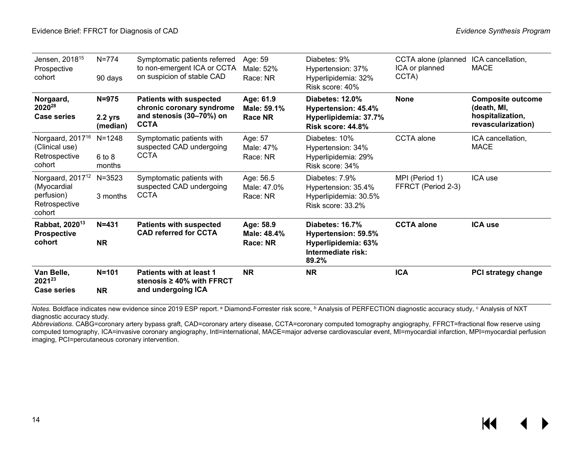| Jensen, 2018 <sup>15</sup><br>Prospective<br>cohort                                  | $N = 774$<br>90 days             | Symptomatic patients referred<br>to non-emergent ICA or CCTA<br>on suspicion of stable CAD             | Age: 59<br>Male: 52%<br>Race: NR           | Diabetes: 9%<br>Hypertension: 37%<br>Hyperlipidemia: 32%<br>Risk score: 40%                  | CCTA alone (planned<br>ICA or planned<br>CCTA) | ICA cancellation,<br><b>MACE</b>                                                  |
|--------------------------------------------------------------------------------------|----------------------------------|--------------------------------------------------------------------------------------------------------|--------------------------------------------|----------------------------------------------------------------------------------------------|------------------------------------------------|-----------------------------------------------------------------------------------|
| Norgaard,<br>2020 <sup>28</sup><br><b>Case series</b>                                | $N = 975$<br>2.2 yrs<br>(median) | <b>Patients with suspected</b><br>chronic coronary syndrome<br>and stenosis (30-70%) on<br><b>CCTA</b> | Age: 61.9<br>Male: 59.1%<br><b>Race NR</b> | Diabetes: 12.0%<br>Hypertension: 45.4%<br>Hyperlipidemia: 37.7%<br>Risk score: 44.8%         | <b>None</b>                                    | <b>Composite outcome</b><br>(death, MI,<br>hospitalization,<br>revascularization) |
| Norgaard, 2017 <sup>16</sup><br>(Clinical use)<br>Retrospective<br>cohort            | $N = 1248$<br>6 to 8<br>months   | Symptomatic patients with<br>suspected CAD undergoing<br>CCTA                                          | Age: 57<br>Male: 47%<br>Race: NR           | Diabetes: 10%<br>Hypertension: 34%<br>Hyperlipidemia: 29%<br>Risk score: 34%                 | <b>CCTA</b> alone                              | ICA cancellation,<br><b>MACE</b>                                                  |
| Norgaard, 2017 <sup>12</sup><br>(Myocardial<br>perfusion)<br>Retrospective<br>cohort | $N = 3523$<br>3 months           | Symptomatic patients with<br>suspected CAD undergoing<br><b>CCTA</b>                                   | Age: 56.5<br>Male: 47.0%<br>Race: NR       | Diabetes: 7.9%<br>Hypertension: 35.4%<br>Hyperlipidemia: 30.5%<br>Risk score: 33.2%          | MPI (Period 1)<br>FFRCT (Period 2-3)           | ICA use                                                                           |
| Rabbat, 2020 <sup>13</sup><br><b>Prospective</b><br>cohort                           | $N = 431$<br><b>NR</b>           | <b>Patients with suspected</b><br><b>CAD referred for CCTA</b>                                         | Age: 58.9<br>Male: 48.4%<br>Race: NR       | Diabetes: 16.7%<br>Hypertension: 59.5%<br>Hyperlipidemia: 63%<br>Intermediate risk:<br>89.2% | <b>CCTA</b> alone                              | <b>ICA use</b>                                                                    |
| Van Belle,<br>202123<br><b>Case series</b>                                           | $N = 101$<br><b>NR</b>           | Patients with at least 1<br>stenosis $\geq 40\%$ with FFRCT<br>and undergoing ICA                      | <b>NR</b>                                  | <b>NR</b>                                                                                    | <b>ICA</b>                                     | <b>PCI strategy change</b>                                                        |

*Notes.* Boldface indicates new evidence since 2019 ESP report.<sup>a</sup> Diamond-Forrester risk score, <sup>b</sup> Analysis of PERFECTION diagnostic accuracy study, <sup>c</sup> Analysis of NXT diagnostic accuracy study.

*Abbreviations*. CABG=coronary artery bypass graft, CAD=coronary artery disease, CCTA=coronary computed tomography angiography, FFRCT=fractional flow reserve using computed tomography, ICA=invasive coronary angiography, Intl=international, MACE=major adverse cardiovascular event, MI=myocardial infarction, MPI=myocardial perfusion imaging, PCI=percutaneous coronary intervention.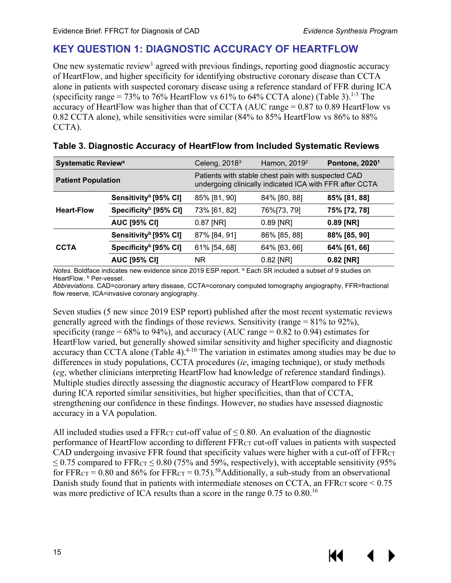## <span id="page-18-0"></span>**KEY QUESTION 1: DIAGNOSTIC ACCURACY OF HEARTFLOW**

One new systematic review<sup>1</sup> agreed with previous findings, reporting good diagnostic accuracy of HeartFlow, and higher specificity for identifying obstructive coronary disease than CCTA alone in patients with suspected coronary disease using a reference standard of FFR during IC A (specificity range = 73% to 76% HeartFlow vs 61% to 64% CCTA alone) (Table 3).<sup>1-3</sup> The accuracy of HeartFlow was higher than that of CCTA (AUC range  $= 0.87$  to 0.89 HeartFlow vs 0.82 CCTA alone), while sensitivities were similar (84% to 85% HeartFlow vs 86% to 88% CCTA).

| <b>Systematic Reviewa</b> |                                   | Celeng, $20183$                                                                                               | Hamon, 2019 <sup>2</sup> | Pontone, 2020 <sup>1</sup> |  |
|---------------------------|-----------------------------------|---------------------------------------------------------------------------------------------------------------|--------------------------|----------------------------|--|
| <b>Patient Population</b> |                                   | Patients with stable chest pain with suspected CAD<br>undergoing clinically indicated ICA with FFR after CCTA |                          |                            |  |
|                           | Sensitivity <sup>b</sup> [95% CI] | 85% [81, 90]                                                                                                  | 84% [80, 88]             | 85% [81, 88]               |  |
| <b>Heart-Flow</b>         | Specificity <sup>b</sup> [95% CI] | 73% [61, 82]                                                                                                  | 76%[73, 79]              | 75% [72, 78]               |  |
|                           | <b>AUC [95% CI]</b>               | $0.87$ [NR]                                                                                                   | $0.89$ [NR]              | 0.89 [NR]                  |  |
|                           | Sensitivity <sup>b</sup> [95% CI] | 87% [84, 91]                                                                                                  | 86% [85, 88]             | 88% [85, 90]               |  |
| <b>CCTA</b>               | Specificity <sup>b</sup> [95% CI] | 61% [54, 68]                                                                                                  | 64% [63, 66]             | 64% [61, 66]               |  |
|                           | <b>AUC [95% CI]</b>               | NR.                                                                                                           | $0.82$ [NR]              | 0.82 [NR]                  |  |

<span id="page-18-1"></span>

|  | Table 3. Diagnostic Accuracy of HeartFlow from Included Systematic Reviews |  |
|--|----------------------------------------------------------------------------|--|
|--|----------------------------------------------------------------------------|--|

*Notes.* Boldface indicates new evidence since 2019 ESP report. <sup>a</sup> Each SR included a subset of 9 studies on HeartFlow. **b** Per-vessel.

*Abbreviations.* CAD=coronary artery disease, CCTA=coronary computed tomography angiography, FFR=fractional flow reserve, ICA=invasive coronary angiography.

Seven studies (5 new since 2019 ESP report) published after the most recent systematic reviews generally agreed with the findings of those reviews. Sensitivity (range = 81% to 92%), specificity (range =  $68\%$  to 94%), and accuracy (AUC range = 0.82 to 0.94) estimates for HeartFlow varied, but generally showed similar sensitivity and higher specificity and diagnostic accuracy than CCTA alone (Table 4). $4-10$  The variation in estimates among studies may be due to differences in study populations, CCTA procedures (*ie*, imaging technique), or study methods (*eg*, whether clinicians interpreting HeartFlow had knowledge of reference standard findings). Multiple studies directly assessing the diagnostic accuracy of HeartFlow compared to FFR during ICA reported similar sensitivities, but higher specificities, than that of CCTA, strengthening our confidence in these findings. However, no studies have assessed diagnostic accuracy in a VA population.

All included studies used a FFR $_{CT}$  cut-off value of  $\leq$  0.80. An evaluation of the diagnostic performance of HeartFlow according to different FFRCT cut-off values in patients with suspected CAD undergoing invasive FFR found that specificity values were higher with a cut-off of FFR $cr$  $\leq$  0.75 compared to FFR<sub>CT</sub>  $\leq$  0.80 (75% and 59%, respectively), with acceptable sensitivity (95%) for FFR<sub>CT</sub> = 0.80 and 86% for FFR<sub>CT</sub> = 0.75).<sup>58</sup>Additionally, a sub-study from an observational Danish study found that in patients with intermediate stenoses on CCTA, an FFR $_{CT}$  score  $\leq 0.75$ was more predictive of ICA results than a score in the range 0.75 to 0.80.<sup>16</sup>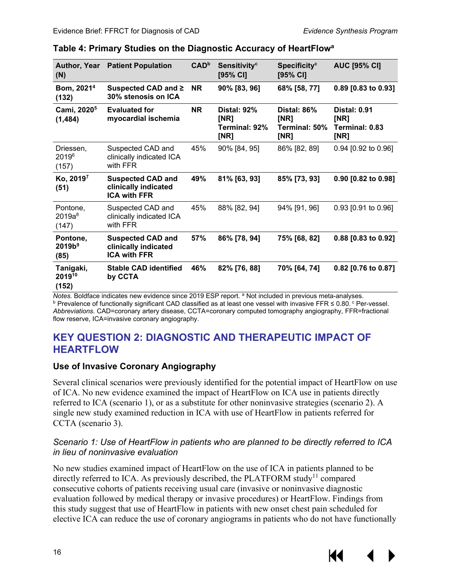| <b>Author, Year</b><br>(N)             | <b>Patient Population</b>                                               | <b>CAD</b> <sup>b</sup> | Sensitivity <sup>c</sup><br>$[95%$ CI]              | <b>Specificity<sup>c</sup></b><br>$[95%$ CI] | <b>AUC [95% CI]</b>                                   |
|----------------------------------------|-------------------------------------------------------------------------|-------------------------|-----------------------------------------------------|----------------------------------------------|-------------------------------------------------------|
| Bom, 2021 <sup>4</sup><br>(132)        | Suspected CAD and ≥<br>30% stenosis on ICA                              | <b>NR</b>               | 90% [83, 96]                                        | 68% [58, 77]                                 | 0.89 [0.83 to 0.93]                                   |
| Cami, 2020 <sup>5</sup><br>(1, 484)    | <b>Evaluated for</b><br>myocardial ischemia                             | <b>NR</b>               | <b>Distal: 92%</b><br>[NR]<br>Terminal: 92%<br>[NR] | Distal: 86%<br>[NR]<br>Terminal: 50%<br>[NR] | <b>Distal: 0.91</b><br>[NR]<br>Terminal: 0.83<br>[NR] |
| Driessen,<br>20196<br>(157)            | Suspected CAD and<br>clinically indicated ICA<br>with FFR               | 45%                     | 90% [84, 95]                                        | 86% [82, 89]                                 | 0.94 [0.92 to 0.96]                                   |
| Ko, 2019 <sup>7</sup><br>(51)          | <b>Suspected CAD and</b><br>clinically indicated<br><b>ICA with FFR</b> | 49%                     | 81% [63, 93]                                        | 85% [73, 93]                                 | 0.90 [0.82 to 0.98]                                   |
| Pontone,<br>$2019a^8$<br>(147)         | Suspected CAD and<br>clinically indicated ICA<br>with FFR               | 45%                     | 88% [82, 94]                                        | 94% [91, 96]                                 | 0.93 [0.91 to 0.96]                                   |
| Pontone,<br>2019b <sup>9</sup><br>(85) | <b>Suspected CAD and</b><br>clinically indicated<br><b>ICA with FFR</b> | 57%                     | 86% [78, 94]                                        | 75% [68, 82]                                 | 0.88 [0.83 to 0.92]                                   |
| Tanigaki,<br>201910<br>(152)           | <b>Stable CAD identified</b><br>by CCTA                                 | 46%                     | 82% [76, 88]                                        | 70% [64, 74]                                 | 0.82 [0.76 to 0.87]                                   |

#### <span id="page-19-2"></span>**Table 4: Primary Studies on the Diagnostic Accuracy of HeartFlowa**

*Notes.* Boldface indicates new evidence since 2019 ESP report. ª Not included in previous meta-analyses.<br><sup>b</sup> Prevalence of functionally significant CAD classified as at least one vessel with invasive FFR ≤ 0.80. <sup>c</sup> Per-*Abbreviations.* CAD=coronary artery disease, CCTA=coronary computed tomography angiography, FFR=fractional flow reserve, ICA=invasive coronary angiography.

## <span id="page-19-0"></span>**KEY QUESTION 2: DIAGNOSTIC AND THERAPEUTIC IMPACT OF HEARTFLOW**

#### <span id="page-19-1"></span>**Use of Invasive Coronary Angiography**

Several clinical scenarios were previously identified for the potential impact of HeartFlow on use of ICA. No new evidence examined the impact of HeartFlow on ICA use in patients directly referred to ICA (scenario 1), or as a substitute for other noninvasive strategies (scenario 2). A single new study examined reduction in ICA with use of HeartFlow in patients referred for CCTA (scenario 3).

#### *Scenario 1: Use of HeartFlow in patients who are planned to be directly referred to ICA in lieu of noninvasive evaluation*

No new studies examined impact of HeartFlow on the use of ICA in patients planned to be directly referred to ICA. As previously described, the PLATFORM study<sup>11</sup> compared consecutive cohorts of patients receiving usual care (invasive or noninvasive diagnostic evaluation followed by medical therapy or invasive procedures) or HeartFlow. Findings from this study suggest that use of HeartFlow in patients with new onset chest pain scheduled for elective ICA can reduce the use of coronary angiograms in patients who do not have functionally

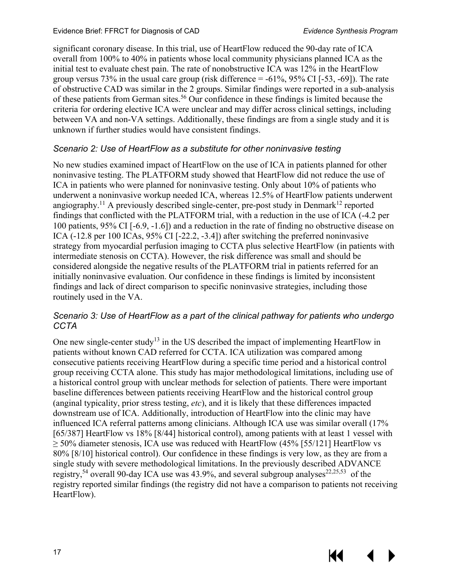К

significant coronary disease. In this trial, use of HeartFlow reduced the 90-day rate of ICA overall from 100% to 40% in patients whose local community physicians planned ICA as the initial test to evaluate chest pain. The rate of nonobstructive ICA was 12% in the HeartFlow group versus 73% in the usual care group (risk difference  $= -61\%$ , 95% CI [ $-53$ ,  $-69$ ]). The rate of obstructive CAD was similar in the 2 groups. Similar findings were reported in a sub-analysis of these patients from German sites.[56](#page-32-16) Our confidence in these findings is limited because the criteria for ordering elective ICA were unclear and may differ across clinical settings, including between VA and non-VA settings. Additionally, these findings are from a single study and it is unknown if further studies would have consistent findings.

#### *Scenario 2: Use of HeartFlow as a substitute for other noninvasive testing*

No new studies examined impact of HeartFlow on the use of ICA in patients planned for other noninvasive testing. The PLATFORM study showed that HeartFlow did not reduce the use of ICA in patients who were planned for noninvasive testing. Only about 10% of patients who underwent a noninvasive workup needed ICA, whereas 12.5% of HeartFlow patients underwent angiography.<sup>[11](#page-29-3)</sup> A previously described single-center, pre-post study in Denmark<sup>12</sup> reported findings that conflicted with the PLATFORM trial, with a reduction in the use of ICA (-4.2 per 100 patients, 95% CI [-6.9, -1.6]) and a reduction in the rate of finding no obstructive disease on ICA (-12.8 per 100 ICAs, 95% CI [-22.2, -3.4]) after switching the preferred noninvasive strategy from myocardial perfusion imaging to CCTA plus selective HeartFlow (in patients with intermediate stenosis on CCTA). However, the risk difference was small and should be considered alongside the negative results of the PLATFORM trial in patients referred for an initially noninvasive evaluation. Our confidence in these findings is limited by inconsistent findings and lack of direct comparison to specific noninvasive strategies, including those routinely used in the VA.

#### *Scenario 3: Use of HeartFlow as a part of the clinical pathway for patients who undergo CCTA*

One new single-center study<sup>13</sup> in the US described the impact of implementing HeartFlow in patients without known CAD referred for CCTA. ICA utilization was compared among consecutive patients receiving HeartFlow during a specific time period and a historical control group receiving CCTA alone. This study has major methodological limitations, including use of a historical control group with unclear methods for selection of patients. There were important baseline differences between patients receiving HeartFlow and the historical control group (anginal typicality, prior stress testing, *etc*), and it is likely that these differences impacted downstream use of ICA. Additionally, introduction of HeartFlow into the clinic may have influenced ICA referral patterns among clinicians. Although ICA use was similar overall (17% [65/387] HeartFlow vs 18% [8/44] historical control), among patients with at least 1 vessel with  $\geq$  50% diameter stenosis, ICA use was reduced with HeartFlow (45% [55/121] HeartFlow vs 80% [8/10] historical control). Our confidence in these findings is very low, as they are from a single study with severe methodological limitations. In the previously described ADVANCE registry,<sup>[54](#page-32-17)</sup> overall 90-day ICA use was 43.9%, and several subgroup analyses<sup>[22](#page-30-8)[,25](#page-30-9)[,53](#page-32-10)</sup> of the registry reported similar findings (the registry did not have a comparison to patients not receiving HeartFlow).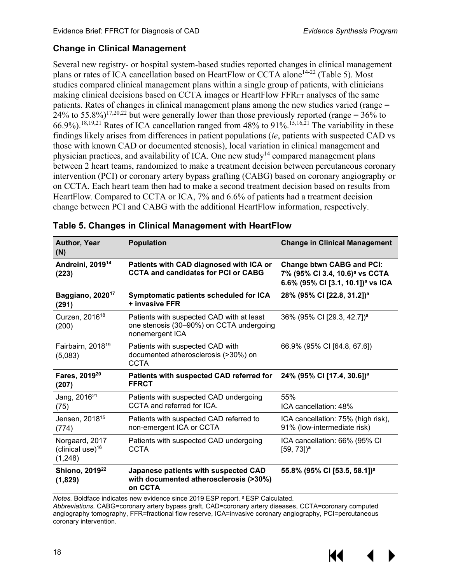#### <span id="page-21-0"></span>**Change in Clinical Management**

Several new registry- or hospital system-based studies reported changes in clinical management plans or rates of ICA cancellation based on HeartFlow or CCTA alone<sup>[14-22](#page-30-1)</sup> (Table 5). Most studies compared clinical management plans within a single group of patients, with clinicians making clinical decisions based on CCTA images or HeartFlow FFR $_{CT}$  analyses of the same patients. Rates of changes in clinical management plans among the new studies varied (range = 24% to 55.8%)<sup>[17,](#page-30-2)[20,](#page-30-10)22</sup> but were generally lower than those previously reported (range =  $36\%$  to 66.9%).<sup>18[,19](#page-30-6),[21](#page-30-7)</sup> Rates of ICA cancellation ranged from  $48\%$  to 91%.<sup>15,[16,](#page-30-4)21</sup> The variability in these findings likely arises from differences in patient populations (*ie*, patients with suspected CAD vs those with known CAD or documented stenosis), local variation in clinical management and physician practices, and availability of ICA. One new study<sup>14</sup> compared management plans between 2 heart teams, randomized to make a treatment decision between percutaneous coronary intervention (PCI) or coronary artery bypass grafting (CABG) based on coronary angiography or on CCTA. Each heart team then had to make a second treatment decision based on results from HeartFlow. Compared to CCTA or ICA, 7% and 6.6% of patients had a treatment decision change between PCI and CABG with the additional HeartFlow information, respectively.

| Author, Year<br>(N)                              | <b>Population</b>                                                                                        | <b>Change in Clinical Management</b>                                                                                            |
|--------------------------------------------------|----------------------------------------------------------------------------------------------------------|---------------------------------------------------------------------------------------------------------------------------------|
| Andreini, 2019 <sup>14</sup><br>(223)            | Patients with CAD diagnosed with ICA or<br><b>CCTA and candidates for PCI or CABG</b>                    | <b>Change btwn CABG and PCI:</b><br>7% (95% CI 3.4, 10.6) <sup>a</sup> vs CCTA<br>6.6% (95% CI [3.1, 10.1]) <sup>a</sup> vs ICA |
| Baggiano, 2020 <sup>17</sup><br>(291)            | Symptomatic patients scheduled for ICA<br>+ invasive FFR                                                 | 28% (95% CI [22.8, 31.2]) <sup>a</sup>                                                                                          |
| Curzen, 2016 <sup>18</sup><br>(200)              | Patients with suspected CAD with at least<br>one stenosis (30-90%) on CCTA undergoing<br>nonemergent ICA | 36% (95% CI [29.3, 42.7]) <sup>a</sup>                                                                                          |
| Fairbairn, 2018 <sup>19</sup><br>(5,083)         | Patients with suspected CAD with<br>documented atherosclerosis (>30%) on<br><b>CCTA</b>                  | 66.9% (95% CI [64.8, 67.6])                                                                                                     |
| Fares, 2019 <sup>20</sup><br>(207)               | Patients with suspected CAD referred for<br><b>FFRCT</b>                                                 | 24% (95% CI [17.4, 30.6]) <sup>a</sup>                                                                                          |
| Jang, 2016 <sup>21</sup><br>(75)                 | Patients with suspected CAD undergoing<br>CCTA and referred for ICA.                                     | 55%<br>ICA cancellation: 48%                                                                                                    |
| Jensen, 2018 <sup>15</sup><br>(774)              | Patients with suspected CAD referred to<br>non-emergent ICA or CCTA                                      | ICA cancellation: 75% (high risk),<br>91% (low-intermediate risk)                                                               |
| Norgaard, 2017<br>(clinical use) $16$<br>(1,248) | Patients with suspected CAD undergoing<br><b>CCTA</b>                                                    | ICA cancellation: 66% (95% CI<br>$[59, 73]$ <sup>a</sup>                                                                        |
| Shiono, 2019 <sup>22</sup><br>(1,829)            | Japanese patients with suspected CAD<br>with documented atherosclerosis (>30%)<br>on CCTA                | 55.8% (95% CI [53.5, 58.1]) <sup>a</sup>                                                                                        |

<span id="page-21-1"></span>

|  | Table 5. Changes in Clinical Management with HeartFlow |
|--|--------------------------------------------------------|
|--|--------------------------------------------------------|

*Notes.* Boldface indicates new evidence since 2019 ESP report. a ESP Calculated. *Abbreviations.* CABG=coronary artery bypass graft, CAD=coronary artery diseases, CCTA=coronary computed angiography tomography, FFR=fractional flow reserve, ICA=invasive coronary angiography, PCI=percutaneous coronary intervention.

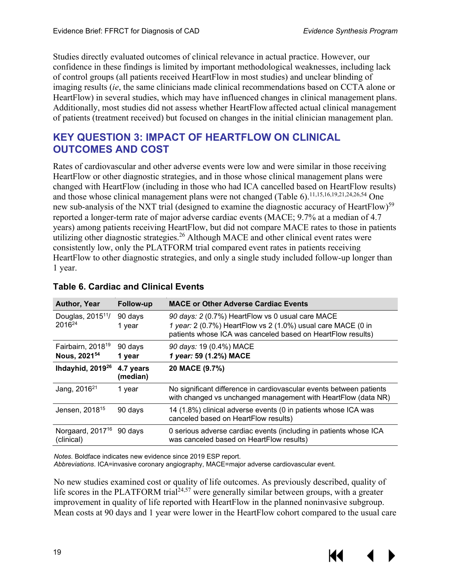Studies directly evaluated outcomes of clinical relevance in actual practice. However, our confidence in these findings is limited by important methodological weaknesses, including lack of control groups (all patients received HeartFlow in most studies) and unclear blinding of imaging results (*ie*, the same clinicians made clinical recommendations based on CCTA alone or HeartFlow) in several studies, which may have influenced changes in clinical management plans. Additionally, most studies did not assess whether HeartFlow affected actual clinical management of patients (treatment received) but focused on changes in the initial clinician management plan.

## <span id="page-22-0"></span>**KEY QUESTION 3: IMPACT OF HEARTFLOW ON CLINICAL OUTCOMES AND COST**

Rates of cardiovascular and other adverse events were low and were similar in those receiving HeartFlow or other diagnostic strategies, and in those whose clinical management plans were changed with HeartFlow (including in those who had ICA cancelled based on HeartFlow results) and those whose clinical management plans were not changed (Table 6).<sup>11[,15](#page-30-3)[,16](#page-30-4)[,19](#page-30-6)[,21](#page-30-7)[,24](#page-30-5)[,26](#page-30-12)[,54](#page-32-17)</sup> One new sub-analysis of the NXT trial (designed to examine the diagnostic accuracy of HeartFlow)<sup>[59](#page-33-0)</sup> reported a longer-term rate of major adverse cardiac events (MACE; 9.7% at a median of 4.7 years) among patients receiving HeartFlow, but did not compare MACE rates to those in patients utilizing other diagnostic strategies.<sup>[26](#page-30-12)</sup> Although MACE and other clinical event rates were consistently low, only the PLATFORM trial compared event rates in patients receiving HeartFlow to other diagnostic strategies, and only a single study included follow-up longer than 1 year.

| <b>Author, Year</b>                                       | Follow-up             | <b>MACE or Other Adverse Cardiac Events</b>                                                                                                                                     |
|-----------------------------------------------------------|-----------------------|---------------------------------------------------------------------------------------------------------------------------------------------------------------------------------|
| Douglas, 2015 <sup>11</sup> /<br>$2016^{24}$              | 90 days<br>1 year     | 90 days: 2 (0.7%) HeartFlow vs 0 usual care MACE<br>1 year: 2 (0.7%) HeartFlow vs 2 (1.0%) usual care MACE (0 in<br>patients whose ICA was canceled based on HeartFlow results) |
| Fairbairn, 2018 <sup>19</sup><br>Nous, 2021 <sup>54</sup> | 90 days<br>1 year     | 90 days: 19 (0.4%) MACE<br>1 year: 59 (1.2%) MACE                                                                                                                               |
| Ihdayhid, 2019 <sup>26</sup>                              | 4.7 years<br>(median) | 20 MACE (9.7%)                                                                                                                                                                  |
| Jang, 2016 <sup>21</sup>                                  | 1 year                | No significant difference in cardiovascular events between patients<br>with changed vs unchanged management with HeartFlow (data NR)                                            |
| Jensen, 2018 <sup>15</sup>                                | 90 days               | 14 (1.8%) clinical adverse events (0 in patients whose ICA was<br>canceled based on HeartFlow results)                                                                          |
| Norgaard, 2017 <sup>16</sup><br>(clinical)                | 90 days               | 0 serious adverse cardiac events (including in patients whose ICA<br>was canceled based on HeartFlow results)                                                                   |

#### <span id="page-22-1"></span>**Table 6. Cardiac and Clinical Events**

*Notes.* Boldface indicates new evidence since 2019 ESP report.

*Abbreviations*. ICA=invasive coronary angiography, MACE=major adverse cardiovascular event.

No new studies examined cost or quality of life outcomes. As previously described, quality of life scores in the PLATFORM trial<sup>24,[57](#page-32-18)</sup> were generally similar between groups, with a greater improvement in quality of life reported with HeartFlow in the planned noninvasive subgroup. Mean costs at 90 days and 1 year were lower in the HeartFlow cohort compared to the usual care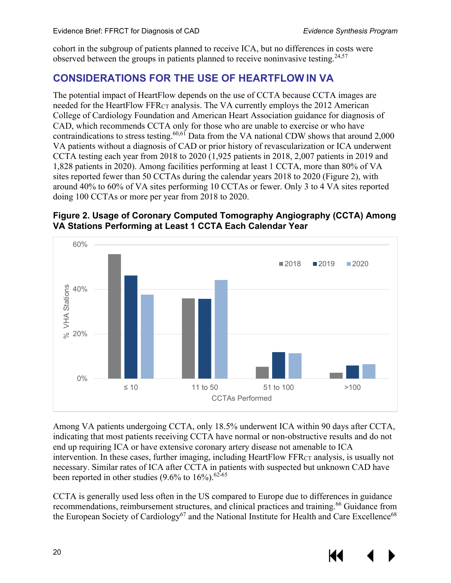cohort in the subgroup of patients planned to receive ICA, but no differences in costs were observed between the groups in patients planned to receive noninvasive testing.  $24,57$  $24,57$ 

## <span id="page-23-0"></span>**CONSIDERATIONS FOR THE USE OF HEARTFLOW IN VA**

The potential impact of HeartFlow depends on the use of CCTA because CCTA images are needed for the HeartFlow FFR<sub>CT</sub> analysis. The VA currently employs the 2012 American College of Cardiology Foundation and American Heart Association guidance for diagnosis of CAD, which recommends CCTA only for those who are unable to exercise or who have contraindications to stress testing.<sup>[60,](#page-33-1)[61](#page-33-2)</sup> Data from the VA national CDW shows that around 2,000 VA patients without a diagnosis of CAD or prior history of revascularization or ICA underwent CCTA testing each year from 2018 to 2020 (1,925 patients in 2018, 2,007 patients in 2019 and 1,828 patients in 2020). Among facilities performing at least 1 CCTA, more than 80% of VA sites reported fewer than 50 CCTAs during the calendar years 2018 to 2020 (Figure 2), with around 40% to 60% of VA sites performing 10 CCTAs or fewer. Only 3 to 4 VA sites reported doing 100 CCTAs or more per year from 2018 to 2020.

#### <span id="page-23-1"></span>**Figure 2. Usage of Coronary Computed Tomography Angiography (CCTA) Among VA Stations Performing at Least 1 CCTA Each Calendar Year**



Among VA patients undergoing CCTA, only 18.5% underwent ICA within 90 days after CCTA, indicating that most patients receiving CCTA have normal or non-obstructive results and do not end up requiring ICA or have extensive coronary artery disease not amenable to ICA intervention. In these cases, further imaging, including HeartFlow FFRCT analysis, is usually not necessary. Similar rates of ICA after CCTA in patients with suspected but unknown CAD have been reported in other studies  $(9.6\%$  to  $16\%)$ . <sup>62-65</sup>

CCTA is generally used less often in the US compared to Europe due to differences in guidance recommendations, reimbursement structures, and clinical practices and training.<sup>66</sup> Guidance from the European Society of Cardiology<sup>67</sup> and the National Institute for Health and Care Excellence<sup>68</sup>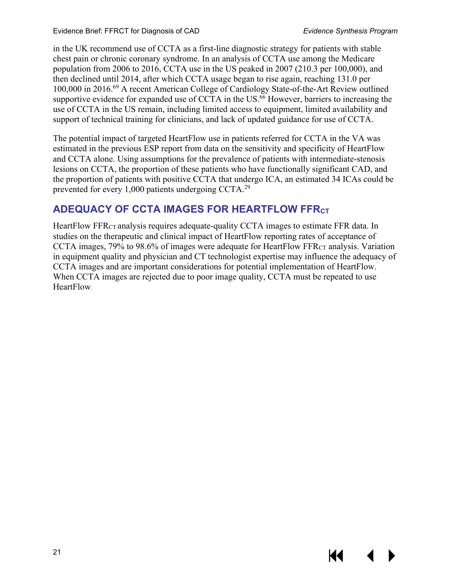К

in the UK recommend use of CCTA as a first-line diagnostic strategy for patients with stable chest pain or chronic coronary syndrome. In an analysis of CCTA use among the Medicare population from 2006 to 2016, CCTA use in the US peaked in 2007 (210.3 per 100,000), and then declined until 2014, after which CCTA usage began to rise again, reaching 131.0 per 100,000 in 2016[.69](#page-33-7) A recent American College of Cardiology State-of-the-Art Review outlined supportive evidence for expanded use of CCTA in the US.<sup>[66](#page-33-4)</sup> However, barriers to increasing the use of CCTA in the US remain, including limited access to equipment, limited availability and support of technical training for clinicians, and lack of updated guidance for use of CCTA.

The potential impact of targeted HeartFlow use in patients referred for CCTA in the VA was estimated in the previous ESP report from data on the sensitivity and specificity of HeartFlow and CCTA alone. Using assumptions for the prevalence of patients with intermediate-stenosis lesions on CCTA, the proportion of these patients who have functionally significant CAD, and the proportion of patients with positive CCTA that undergo ICA, an estimated 34 ICAs could be prevented for every 1,000 patients undergoing CCTA.<sup>[29](#page-31-0)</sup>

## <span id="page-24-0"></span>**ADEQUACY OF CCTA IMAGES FOR HEARTFLOW FFRCT**

HeartFlow FFR<sub>CT</sub> analysis requires adequate-quality CCTA images to estimate FFR data. In studies on the therapeutic and clinical impact of HeartFlow reporting rates of acceptance of CCTA images, 79% to 98.6% of images were adequate for HeartFlow FFR<sub>CT</sub> analysis. Variation in equipment quality and physician and CT technologist expertise may influence the adequacy of CCTA images and are important considerations for potential implementation of HeartFlow. When CCTA images are rejected due to poor image quality, CCTA must be repeated to use HeartFlow.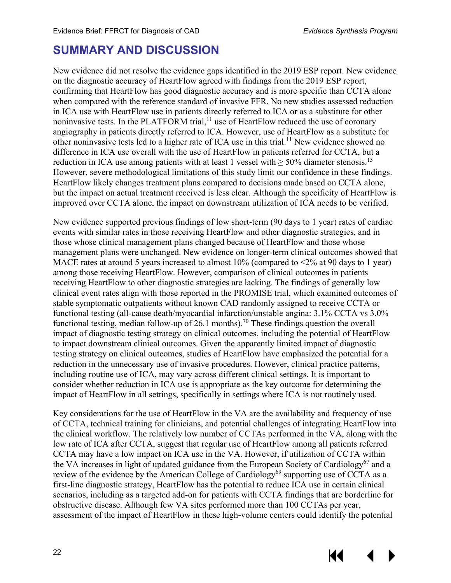## <span id="page-25-0"></span>**SUMMARY AND DISCUSSION**

New evidence did not resolve the evidence gaps identified in the 2019 ESP report. New evidence on the diagnostic accuracy of HeartFlow agreed with findings from the 2019 ESP report, confirming that HeartFlow has good diagnostic accuracy and is more specific than CCTA alone when compared with the reference standard of invasive FFR. No new studies assessed reduction in ICA use with HeartFlow use in patients directly referred to ICA or as a substitute for other noninvasive tests. In the PLATFORM trial,<sup>[11](#page-29-3)</sup> use of HeartFlow reduced the use of coronary angiography in patients directly referred to ICA. However, use of HeartFlow as a substitute for other noninvasive tests led to a higher rate of ICA use in this trial.<sup>[11](#page-29-3)</sup> New evidence showed no difference in ICA use overall with the use of HeartFlow in patients referred for CCTA, but a reduction in ICA use among patients with at least 1 vessel with  $\geq$  50% diameter stenosis.<sup>[13](#page-30-0)</sup> However, severe methodological limitations of this study limit our confidence in these findings. HeartFlow likely changes treatment plans compared to decisions made based on CCTA alone, but the impact on actual treatment received is less clear. Although the specificity of HeartFlow is improved over CCTA alone, the impact on downstream utilization of ICA needs to be verified.

New evidence supported previous findings of low short-term (90 days to 1 year) rates of cardiac events with similar rates in those receiving HeartFlow and other diagnostic strategies, and in those whose clinical management plans changed because of HeartFlow and those whose management plans were unchanged. New evidence on longer-term clinical outcomes showed that MACE rates at around 5 years increased to almost 10% (compared to <2% at 90 days to 1 year) among those receiving HeartFlow. However, comparison of clinical outcomes in patients receiving HeartFlow to other diagnostic strategies are lacking. The findings of generally low clinical event rates align with those reported in the PROMISE trial, which examined outcomes of stable symptomatic outpatients without known CAD randomly assigned to receive CCTA or functional testing (all-cause death/myocardial infarction/unstable angina: 3.1% CCTA vs 3.0% functional testing, median follow-up of 26.1 months).<sup>[70](#page-33-8)</sup> These findings question the overall impact of diagnostic testing strategy on clinical outcomes, including the potential of HeartFlow to impact downstream clinical outcomes. Given the apparently limited impact of diagnostic testing strategy on clinical outcomes, studies of HeartFlow have emphasized the potential for a reduction in the unnecessary use of invasive procedures. However, clinical practice patterns, including routine use of ICA, may vary across different clinical settings. It is important to consider whether reduction in ICA use is appropriate as the key outcome for determining the impact of HeartFlow in all settings, specifically in settings where ICA is not routinely used.

Key considerations for the use of HeartFlow in the VA are the availability and frequency of use of CCTA, technical training for clinicians, and potential challenges of integrating HeartFlow into the clinical workflow. The relatively low number of CCTAs performed in the VA, along with the low rate of ICA after CCTA, suggest that regular use of HeartFlow among all patients referred CCTA may have a low impact on ICA use in the VA. However, if utilization of CCTA within the VA increases in light of updated guidance from the European Society of Cardiology<sup>67</sup> and a review of the evidence by the American College of Cardiology<sup>69</sup> supporting use of CCTA as a first-line diagnostic strategy, HeartFlow has the potential to reduce ICA use in certain clinical scenarios, including as a targeted add-on for patients with CCTA findings that are borderline for obstructive disease. Although few VA sites performed more than 100 CCTAs per year, assessment of the impact of HeartFlow in these high-volume centers could identify the potential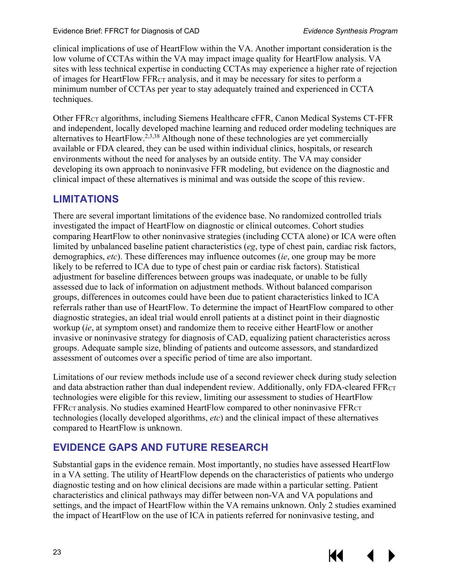clinical implications of use of HeartFlow within the VA. Another important consideration is the low volume of CCTAs within the VA may impact image quality for HeartFlow analysis. VA sites with less technical expertise in conducting CCTAs may experience a higher rate of rejection of images for HeartFlow FFRCT analysis, and it may be necessary for sites to perform a minimum number of CCTAs per year to stay adequately trained and experienced in CCTA techniques.

Other FFRCT algorithms, including Siemens Healthcare cFFR, Canon Medical Systems CT-FFR and independent, locally developed machine learning and reduced order modeling techniques are alternatives to HeartFlow.[2,](#page-29-5)[3,](#page-29-6)[38](#page-31-9) Although none of these technologies are yet commercially available or FDA cleared, they can be used within individual clinics, hospitals, or research environments without the need for analyses by an outside entity. The VA may consider developing its own approach to noninvasive FFR modeling, but evidence on the diagnostic and clinical impact of these alternatives is minimal and was outside the scope of this review.

## <span id="page-26-0"></span>**LIMITATIONS**

There are several important limitations of the evidence base. No randomized controlled trials investigated the impact of HeartFlow on diagnostic or clinical outcomes. Cohort studies comparing HeartFlow to other noninvasive strategies (including CCTA alone) or ICA were often limited by unbalanced baseline patient characteristics (*eg*, type of chest pain, cardiac risk factors, demographics, *etc*). These differences may influence outcomes (*ie*, one group may be more likely to be referred to ICA due to type of chest pain or cardiac risk factors). Statistical adjustment for baseline differences between groups was inadequate, or unable to be fully assessed due to lack of information on adjustment methods. Without balanced comparison groups, differences in outcomes could have been due to patient characteristics linked to ICA referrals rather than use of HeartFlow. To determine the impact of HeartFlow compared to other diagnostic strategies, an ideal trial would enroll patients at a distinct point in their diagnostic workup (*ie*, at symptom onset) and randomize them to receive either HeartFlow or another invasive or noninvasive strategy for diagnosis of CAD, equalizing patient characteristics across groups. Adequate sample size, blinding of patients and outcome assessors, and standardized assessment of outcomes over a specific period of time are also important.

Limitations of our review methods include use of a second reviewer check during study selection and data abstraction rather than dual independent review. Additionally, only FDA-cleared FFRCT technologies were eligible for this review, limiting our assessment to studies of HeartFlow FFRCT analysis. No studies examined HeartFlow compared to other noninvasive FFRCT technologies (locally developed algorithms, *etc*) and the clinical impact of these alternatives compared to HeartFlow is unknown.

## <span id="page-26-1"></span>**EVIDENCE GAPS AND FUTURE RESEARCH**

Substantial gaps in the evidence remain. Most importantly, no studies have assessed HeartFlow in a VA setting. The utility of HeartFlow depends on the characteristics of patients who undergo diagnostic testing and on how clinical decisions are made within a particular setting. Patient characteristics and clinical pathways may differ between non-VA and VA populations and settings, and the impact of HeartFlow within the VA remains unknown. Only 2 studies examined the impact of HeartFlow on the use of ICA in patients referred for noninvasive testing, and

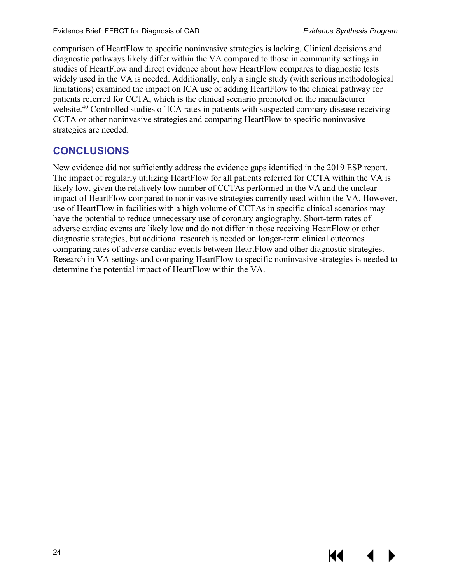KI

comparison of HeartFlow to specific noninvasive strategies is lacking. Clinical decisions and diagnostic pathways likely differ within the VA compared to those in community settings in studies of HeartFlow and direct evidence about how HeartFlow compares to diagnostic tests widely used in the VA is needed. Additionally, only a single study (with serious methodological limitations) examined the impact on ICA use of adding HeartFlow to the clinical pathway for patients referred for CCTA, which is the clinical scenario promoted on the manufacturer website.<sup>[40](#page-31-11)</sup> Controlled studies of ICA rates in patients with suspected coronary disease receiving CCTA or other noninvasive strategies and comparing HeartFlow to specific noninvasive strategies are needed.

## <span id="page-27-0"></span>**CONCLUSIONS**

New evidence did not sufficiently address the evidence gaps identified in the 2019 ESP report. The impact of regularly utilizing HeartFlow for all patients referred for CCTA within the VA is likely low, given the relatively low number of CCTAs performed in the VA and the unclear impact of HeartFlow compared to noninvasive strategies currently used within the VA. However, use of HeartFlow in facilities with a high volume of CCTAs in specific clinical scenarios may have the potential to reduce unnecessary use of coronary angiography. Short-term rates of adverse cardiac events are likely low and do not differ in those receiving HeartFlow or other diagnostic strategies, but additional research is needed on longer-term clinical outcomes comparing rates of adverse cardiac events between HeartFlow and other diagnostic strategies. Research in VA settings and comparing HeartFlow to specific noninvasive strategies is needed to determine the potential impact of HeartFlow within the VA.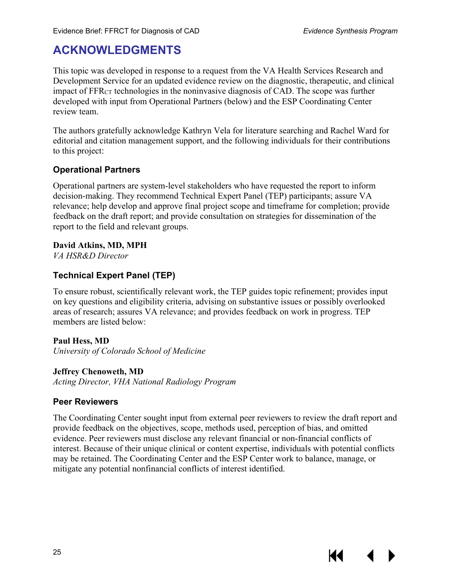К€

## <span id="page-28-0"></span>**ACKNOWLEDGMENTS**

This topic was developed in response to a request from the VA Health Services Research and Development Service for an updated evidence review on the diagnostic, therapeutic, and clinical impact of FFRCT technologies in the noninvasive diagnosis of CAD. The scope was further developed with input from Operational Partners (below) and the ESP Coordinating Center review team.

The authors gratefully acknowledge Kathryn Vela for literature searching and Rachel Ward for editorial and citation management support, and the following individuals for their contributions to this project:

#### **Operational Partners**

Operational partners are system-level stakeholders who have requested the report to inform decision-making. They recommend Technical Expert Panel (TEP) participants; assure VA relevance; help develop and approve final project scope and timeframe for completion; provide feedback on the draft report; and provide consultation on strategies for dissemination of the report to the field and relevant groups.

#### **David Atkins, MD, MPH**

*VA HSR&D Director*

#### **Technical Expert Panel (TEP)**

To ensure robust, scientifically relevant work, the TEP guides topic refinement; provides input on key questions and eligibility criteria, advising on substantive issues or possibly overlooked areas of research; assures VA relevance; and provides feedback on work in progress. TEP members are listed below:

#### **Paul Hess, MD**

*University of Colorado School of Medicine* 

#### **Jeffrey Chenoweth, MD**

*Acting Director, VHA National Radiology Program* 

#### **Peer Reviewers**

The Coordinating Center sought input from external peer reviewers to review the draft report and provide feedback on the objectives, scope, methods used, perception of bias, and omitted evidence. Peer reviewers must disclose any relevant financial or non-financial conflicts of interest. Because of their unique clinical or content expertise, individuals with potential conflicts may be retained. The Coordinating Center and the ESP Center work to balance, manage, or mitigate any potential nonfinancial conflicts of interest identified.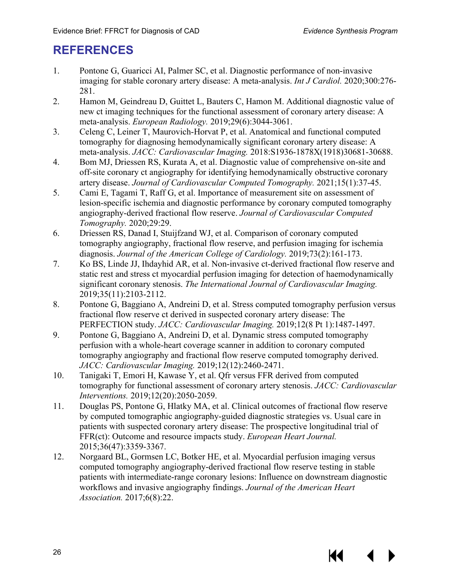KK

## <span id="page-29-0"></span>**REFERENCES**

- <span id="page-29-1"></span>1. Pontone G, Guaricci AI, Palmer SC, et al. Diagnostic performance of non-invasive imaging for stable coronary artery disease: A meta-analysis. *Int J Cardiol.* 2020;300:276- 281.
- <span id="page-29-5"></span>2. Hamon M, Geindreau D, Guittet L, Bauters C, Hamon M. Additional diagnostic value of new ct imaging techniques for the functional assessment of coronary artery disease: A meta-analysis. *European Radiology.* 2019;29(6):3044-3061.
- <span id="page-29-6"></span>3. Celeng C, Leiner T, Maurovich-Horvat P, et al. Anatomical and functional computed tomography for diagnosing hemodynamically significant coronary artery disease: A meta-analysis. *JACC: Cardiovascular Imaging.* 2018:S1936-1878X(1918)30681-30688.
- <span id="page-29-2"></span>4. Bom MJ, Driessen RS, Kurata A, et al. Diagnostic value of comprehensive on-site and off-site coronary ct angiography for identifying hemodynamically obstructive coronary artery disease. *Journal of Cardiovascular Computed Tomography.* 2021;15(1):37-45.
- <span id="page-29-7"></span>5. Cami E, Tagami T, Raff G, et al. Importance of measurement site on assessment of lesion-specific ischemia and diagnostic performance by coronary computed tomography angiography-derived fractional flow reserve. *Journal of Cardiovascular Computed Tomography.* 2020;29:29.
- <span id="page-29-14"></span>6. Driessen RS, Danad I, Stuijfzand WJ, et al. Comparison of coronary computed tomography angiography, fractional flow reserve, and perfusion imaging for ischemia diagnosis. *Journal of the American College of Cardiology.* 2019;73(2):161-173.
- <span id="page-29-12"></span><span id="page-29-8"></span>7. Ko BS, Linde JJ, Ihdayhid AR, et al. Non-invasive ct-derived fractional flow reserve and static rest and stress ct myocardial perfusion imaging for detection of haemodynamically significant coronary stenosis. *The International Journal of Cardiovascular Imaging.*  2019;35(11):2103-2112.
- <span id="page-29-11"></span>8. Pontone G, Baggiano A, Andreini D, et al. Stress computed tomography perfusion versus fractional flow reserve ct derived in suspected coronary artery disease: The PERFECTION study. *JACC: Cardiovascular Imaging.* 2019;12(8 Pt 1):1487-1497.
- <span id="page-29-13"></span><span id="page-29-9"></span>9. Pontone G, Baggiano A, Andreini D, et al. Dynamic stress computed tomography perfusion with a whole-heart coverage scanner in addition to coronary computed tomography angiography and fractional flow reserve computed tomography derived. *JACC: Cardiovascular Imaging.* 2019;12(12):2460-2471.
- <span id="page-29-10"></span>10. Tanigaki T, Emori H, Kawase Y, et al. Qfr versus FFR derived from computed tomography for functional assessment of coronary artery stenosis. *JACC: Cardiovascular Interventions.* 2019;12(20):2050-2059.
- <span id="page-29-3"></span>11. Douglas PS, Pontone G, Hlatky MA, et al. Clinical outcomes of fractional flow reserve by computed tomographic angiography-guided diagnostic strategies vs. Usual care in patients with suspected coronary artery disease: The prospective longitudinal trial of FFR(ct): Outcome and resource impacts study. *European Heart Journal.*  2015;36(47):3359-3367.
- <span id="page-29-4"></span>12. Norgaard BL, Gormsen LC, Botker HE, et al. Myocardial perfusion imaging versus computed tomography angiography-derived fractional flow reserve testing in stable patients with intermediate-range coronary lesions: Influence on downstream diagnostic workflows and invasive angiography findings. *Journal of the American Heart Association.* 2017;6(8):22.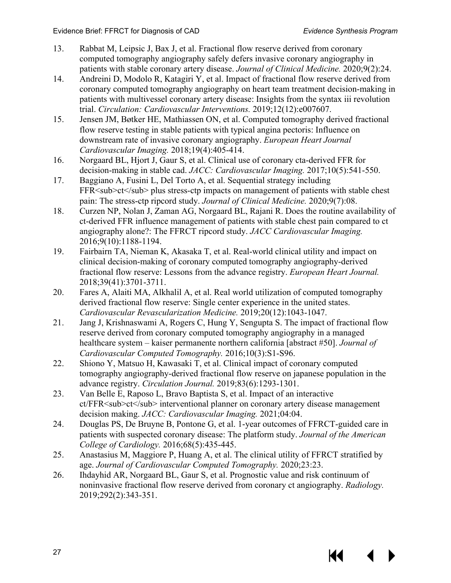KK

- <span id="page-30-23"></span><span id="page-30-22"></span><span id="page-30-21"></span><span id="page-30-17"></span><span id="page-30-0"></span>13. Rabbat M, Leipsic J, Bax J, et al. Fractional flow reserve derived from coronary computed tomography angiography safely defers invasive coronary angiography in patients with stable coronary artery disease. *Journal of Clinical Medicine.* 2020;9(2):24.
- <span id="page-30-18"></span><span id="page-30-1"></span>14. Andreini D, Modolo R, Katagiri Y, et al. Impact of fractional flow reserve derived from coronary computed tomography angiography on heart team treatment decision-making in patients with multivessel coronary artery disease: Insights from the syntax iii revolution trial. *Circulation: Cardiovascular Interventions.* 2019;12(12):e007607.
- <span id="page-30-14"></span><span id="page-30-3"></span>15. Jensen JM, Bøtker HE, Mathiassen ON, et al. Computed tomography derived fractional flow reserve testing in stable patients with typical angina pectoris: Influence on downstream rate of invasive coronary angiography. *European Heart Journal Cardiovascular Imaging.* 2018;19(4):405-414.
- <span id="page-30-4"></span>16. Norgaard BL, Hjort J, Gaur S, et al. Clinical use of coronary cta-derived FFR for decision-making in stable cad. *JACC: Cardiovascular Imaging.* 2017;10(5):541-550.
- <span id="page-30-20"></span><span id="page-30-2"></span>17. Baggiano A, Fusini L, Del Torto A, et al. Sequential strategy including FFR<sub>ct</sub> plus stress-ctp impacts on management of patients with stable chest pain: The stress-ctp ripcord study. *Journal of Clinical Medicine.* 2020;9(7):08.
- <span id="page-30-25"></span><span id="page-30-15"></span>18. Curzen NP, Nolan J, Zaman AG, Norgaard BL, Rajani R. Does the routine availability of ct-derived FFR influence management of patients with stable chest pain compared to ct angiography alone?: The FFRCT ripcord study. *JACC Cardiovascular Imaging.*  2016;9(10):1188-1194.
- <span id="page-30-24"></span><span id="page-30-6"></span>19. Fairbairn TA, Nieman K, Akasaka T, et al. Real-world clinical utility and impact on clinical decision-making of coronary computed tomography angiography-derived fractional flow reserve: Lessons from the advance registry. *European Heart Journal.*  2018;39(41):3701-3711.
- <span id="page-30-16"></span><span id="page-30-10"></span>20. Fares A, Alaiti MA, Alkhalil A, et al. Real world utilization of computed tomography derived fractional flow reserve: Single center experience in the united states. *Cardiovascular Revascularization Medicine.* 2019;20(12):1043-1047.
- <span id="page-30-19"></span><span id="page-30-13"></span><span id="page-30-7"></span>21. Jang J, Krishnaswami A, Rogers C, Hung Y, Sengupta S. The impact of fractional flow reserve derived from coronary computed tomography angiography in a managed healthcare system – kaiser permanente northern california [abstract #50]. *Journal of Cardiovascular Computed Tomography.* 2016;10(3):S1-S96.
- <span id="page-30-8"></span>22. Shiono Y, Matsuo H, Kawasaki T, et al. Clinical impact of coronary computed tomography angiography-derived fractional flow reserve on japanese population in the advance registry. *Circulation Journal.* 2019;83(6):1293-1301.
- <span id="page-30-11"></span>23. Van Belle E, Raposo L, Bravo Baptista S, et al. Impact of an interactive ct/FFR<sub>ct</sub> interventional planner on coronary artery disease management decision making. *JACC: Cardiovascular Imaging.* 2021;04:04.
- <span id="page-30-5"></span>24. Douglas PS, De Bruyne B, Pontone G, et al. 1-year outcomes of FFRCT-guided care in patients with suspected coronary disease: The platform study. *Journal of the American College of Cardiology.* 2016;68(5):435-445.
- <span id="page-30-9"></span>25. Anastasius M, Maggiore P, Huang A, et al. The clinical utility of FFRCT stratified by age. *Journal of Cardiovascular Computed Tomography.* 2020;23:23.
- <span id="page-30-12"></span>26. Ihdayhid AR, Norgaard BL, Gaur S, et al. Prognostic value and risk continuum of noninvasive fractional flow reserve derived from coronary ct angiography. *Radiology.*  2019;292(2):343-351.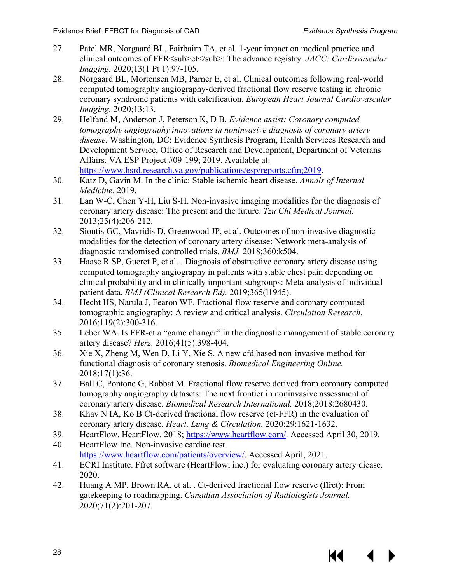- <span id="page-31-17"></span><span id="page-31-16"></span><span id="page-31-15"></span>27. Patel MR, Norgaard BL, Fairbairn TA, et al. 1-year impact on medical practice and clinical outcomes of FFR<sub>ct</sub>: The advance registry. *JACC: Cardiovascular Imaging.* 2020;13(1 Pt 1):97-105.
- <span id="page-31-14"></span>28. Norgaard BL, Mortensen MB, Parner E, et al. Clinical outcomes following real-world computed tomography angiography-derived fractional flow reserve testing in chronic coronary syndrome patients with calcification. *European Heart Journal Cardiovascular Imaging.* 2020;13:13.
- <span id="page-31-0"></span>29. Helfand M, Anderson J, Peterson K, D B. *Evidence assist: Coronary computed tomography angiography innovations in noninvasive diagnosis of coronary artery disease.* Washington, DC: Evidence Synthesis Program, Health Services Research and Development Service, Office of Research and Development, Department of Veterans Affairs. VA ESP Project #09-199; 2019. Available at: [https://www.hsrd.research.va.gov/publications/esp/reports.cfm;2019.](https://www.hsrd.research.va.gov/publications/esp/reports.cfm;2019)
- <span id="page-31-1"></span>30. Katz D, Gavin M. In the clinic: Stable ischemic heart disease. *Annals of Internal Medicine.* 2019.
- <span id="page-31-2"></span>31. Lan W-C, Chen Y-H, Liu S-H. Non-invasive imaging modalities for the diagnosis of coronary artery disease: The present and the future. *Tzu Chi Medical Journal.*  2013;25(4):206-212.
- <span id="page-31-3"></span>32. Siontis GC, Mavridis D, Greenwood JP, et al. Outcomes of non-invasive diagnostic modalities for the detection of coronary artery disease: Network meta-analysis of diagnostic randomised controlled trials. *BMJ.* 2018;360:k504.
- <span id="page-31-4"></span>33. Haase R SP, Gueret P, et al. . Diagnosis of obstructive coronary artery disease using computed tomography angiography in patients with stable chest pain depending on clinical probability and in clinically important subgroups: Meta-analysis of individual patient data. *BMJ (Clinical Research Ed).* 2019;365(l1945).
- <span id="page-31-5"></span>34. Hecht HS, Narula J, Fearon WF. Fractional flow reserve and coronary computed tomographic angiography: A review and critical analysis. *Circulation Research.*  2016;119(2):300-316.
- <span id="page-31-6"></span>35. Leber WA. Is FFR-ct a "game changer" in the diagnostic management of stable coronary artery disease? *Herz.* 2016;41(5):398-404.
- <span id="page-31-7"></span>36. Xie X, Zheng M, Wen D, Li Y, Xie S. A new cfd based non-invasive method for functional diagnosis of coronary stenosis. *Biomedical Engineering Online.*  2018;17(1):36.
- <span id="page-31-8"></span>37. Ball C, Pontone G, Rabbat M. Fractional flow reserve derived from coronary computed tomography angiography datasets: The next frontier in noninvasive assessment of coronary artery disease. *Biomedical Research International.* 2018;2018:2680430.
- <span id="page-31-9"></span>38. Khav N IA, Ko B Ct-derived fractional flow reserve (ct-FFR) in the evaluation of coronary artery disease. *Heart, Lung & Circulation.* 2020;29:1621-1632.
- <span id="page-31-10"></span>39. HeartFlow. HeartFlow. 2018; [https://www.heartflow.com/.](https://www.heartflow.com/) Accessed April 30, 2019.
- <span id="page-31-11"></span>40. HeartFlow Inc. Non-invasive cardiac test. [https://www.heartflow.com/patients/overview/.](https://www.heartflow.com/patients/overview/) Accessed April, 2021.
- <span id="page-31-12"></span>41. ECRI Institute. Ffrct software (HeartFlow, inc.) for evaluating coronary artery diease. 2020.
- <span id="page-31-13"></span>42. Huang A MP, Brown RA, et al. . Ct-derived fractional flow reserve (ffrct): From gatekeeping to roadmapping. *Canadian Association of Radiologists Journal.*  2020;71(2):201-207.

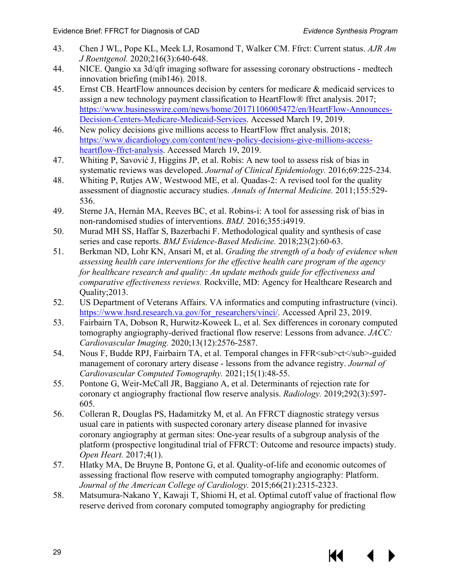- <span id="page-32-0"></span>43. Chen J WL, Pope KL, Meek LJ, Rosamond T, Walker CM. Ffrct: Current status. *AJR Am J Roentgenol.* 2020;216(3):640-648.
- <span id="page-32-1"></span>44. NICE. Qangio xa 3d/qfr imaging software for assessing coronary obstructions - medtech innovation briefing (mib146). 2018.
- <span id="page-32-2"></span>45. Ernst CB. HeartFlow announces decision by centers for medicare & medicaid services to assign a new technology payment classification to HeartFlow® ffrct analysis. 2017; [https://www.businesswire.com/news/home/20171106005472/en/HeartFlow-Announces-](https://www.businesswire.com/news/home/20171106005472/en/HeartFlow-Announces-Decision-Centers-Medicare-Medicaid-Services)[Decision-Centers-Medicare-Medicaid-Services.](https://www.businesswire.com/news/home/20171106005472/en/HeartFlow-Announces-Decision-Centers-Medicare-Medicaid-Services) Accessed March 19, 2019.
- <span id="page-32-3"></span>46. New policy decisions give millions access to HeartFlow ffrct analysis. 2018; [https://www.dicardiology.com/content/new-policy-decisions-give-millions-access](https://www.dicardiology.com/content/new-policy-decisions-give-millions-access-heartflow-ffrct-analysis)[heartflow-ffrct-analysis.](https://www.dicardiology.com/content/new-policy-decisions-give-millions-access-heartflow-ffrct-analysis) Accessed March 19, 2019.
- <span id="page-32-4"></span>47. Whiting P, Savović J, Higgins JP, et al. Robis: A new tool to assess risk of bias in systematic reviews was developed. *Journal of Clinical Epidemiology.* 2016;69:225-234.
- <span id="page-32-11"></span><span id="page-32-5"></span>48. Whiting P, Rutjes AW, Westwood ME, et al. Quadas-2: A revised tool for the quality assessment of diagnostic accuracy studies. *Annals of Internal Medicine.* 2011;155:529- 536.
- <span id="page-32-12"></span><span id="page-32-6"></span>49. Sterne JA, Hernán MA, Reeves BC, et al. Robins-i: A tool for assessing risk of bias in non-randomised studies of interventions. *BMJ.* 2016;355:i4919.
- <span id="page-32-7"></span>50. Murad MH SS, Haffar S, Bazerbachi F. Methodological quality and synthesis of case series and case reports. *BMJ Evidence-Based Medicine.* 2018;23(2):60-63.
- <span id="page-32-8"></span>51. Berkman ND, Lohr KN, Ansari M, et al. *Grading the strength of a body of evidence when assessing health care interventions for the effective health care program of the agency for healthcare research and quality: An update methods guide for effectiveness and comparative effectiveness reviews.* Rockville, MD: Agency for Healthcare Research and Quality;2013.
- <span id="page-32-13"></span><span id="page-32-9"></span>52. US Department of Veterans Affairs. VA informatics and computing infrastructure (vinci). [https://www.hsrd.research.va.gov/for\\_researchers/vinci/.](https://www.hsrd.research.va.gov/for_researchers/vinci/) Accessed April 23, 2019.
- <span id="page-32-14"></span><span id="page-32-10"></span>53. Fairbairn TA, Dobson R, Hurwitz-Koweek L, et al. Sex differences in coronary computed tomography angiography-derived fractional flow reserve: Lessons from advance. *JACC: Cardiovascular Imaging.* 2020;13(12):2576-2587.
- <span id="page-32-17"></span>54. Nous F, Budde RPJ, Fairbairn TA, et al. Temporal changes in FFR<sub>ct</sub>-guided management of coronary artery disease - lessons from the advance registry. *Journal of Cardiovascular Computed Tomography.* 2021;15(1):48-55.
- 55. Pontone G, Weir-McCall JR, Baggiano A, et al. Determinants of rejection rate for coronary ct angiography fractional flow reserve analysis. *Radiology.* 2019;292(3):597- 605.
- <span id="page-32-16"></span>56. Colleran R, Douglas PS, Hadamitzky M, et al. An FFRCT diagnostic strategy versus usual care in patients with suspected coronary artery disease planned for invasive coronary angiography at german sites: One-year results of a subgroup analysis of the platform (prospective longitudinal trial of FFRCT: Outcome and resource impacts) study. *Open Heart.* 2017;4(1).
- <span id="page-32-18"></span>57. Hlatky MA, De Bruyne B, Pontone G, et al. Quality-of-life and economic outcomes of assessing fractional flow reserve with computed tomography angiography: Platform. *Journal of the American College of Cardiology.* 2015;66(21):2315-2323.
- <span id="page-32-15"></span>58. Matsumura-Nakano Y, Kawaji T, Shiomi H, et al. Optimal cutoff value of fractional flow reserve derived from coronary computed tomography angiography for predicting